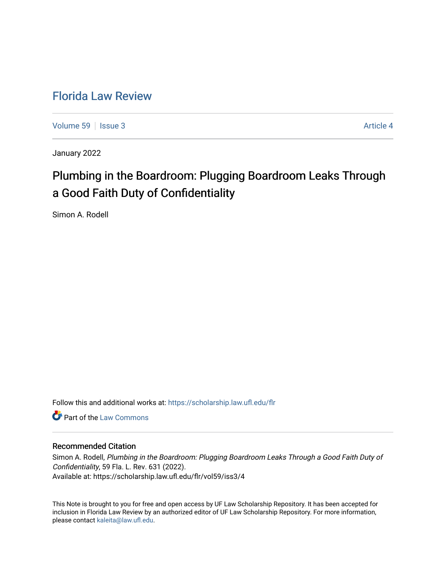# [Florida Law Review](https://scholarship.law.ufl.edu/flr)

[Volume 59](https://scholarship.law.ufl.edu/flr/vol59) | [Issue 3](https://scholarship.law.ufl.edu/flr/vol59/iss3) Article 4

January 2022

# Plumbing in the Boardroom: Plugging Boardroom Leaks Through a Good Faith Duty of Confidentiality

Simon A. Rodell

Follow this and additional works at: [https://scholarship.law.ufl.edu/flr](https://scholarship.law.ufl.edu/flr?utm_source=scholarship.law.ufl.edu%2Fflr%2Fvol59%2Fiss3%2F4&utm_medium=PDF&utm_campaign=PDFCoverPages)

**C** Part of the [Law Commons](http://network.bepress.com/hgg/discipline/578?utm_source=scholarship.law.ufl.edu%2Fflr%2Fvol59%2Fiss3%2F4&utm_medium=PDF&utm_campaign=PDFCoverPages)

## Recommended Citation

Simon A. Rodell, Plumbing in the Boardroom: Plugging Boardroom Leaks Through a Good Faith Duty of Confidentiality, 59 Fla. L. Rev. 631 (2022). Available at: https://scholarship.law.ufl.edu/flr/vol59/iss3/4

This Note is brought to you for free and open access by UF Law Scholarship Repository. It has been accepted for inclusion in Florida Law Review by an authorized editor of UF Law Scholarship Repository. For more information, please contact [kaleita@law.ufl.edu](mailto:kaleita@law.ufl.edu).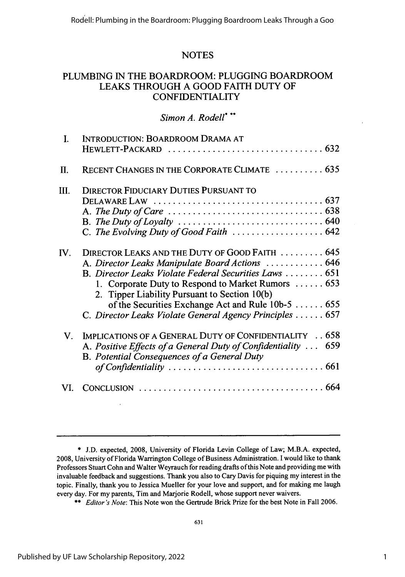# **NOTES**

# **PLUMBING IN** THE BOARDROOM: **PLUGGING** BOARDROOM **LEAKS** THROUGH **A GOOD** FAITH **DUTY** OF **CONFIDENTIALITY**

### *Simon A. Rodell\* \*\**

|                   | INTRODUCTION: BOARDROOM DRAMA AT                                                                                                                                                                                                                                                                                                                                                      |
|-------------------|---------------------------------------------------------------------------------------------------------------------------------------------------------------------------------------------------------------------------------------------------------------------------------------------------------------------------------------------------------------------------------------|
|                   |                                                                                                                                                                                                                                                                                                                                                                                       |
| Π.                | RECENT CHANGES IN THE CORPORATE CLIMATE  635                                                                                                                                                                                                                                                                                                                                          |
| Ш.                | <b>DIRECTOR FIDUCIARY DUTIES PURSUANT TO</b>                                                                                                                                                                                                                                                                                                                                          |
|                   |                                                                                                                                                                                                                                                                                                                                                                                       |
|                   | A. The Duty of Care $\ldots \ldots \ldots \ldots \ldots \ldots \ldots \ldots \ldots \ldots \ldots$ 638                                                                                                                                                                                                                                                                                |
|                   | B. The Duty of Loyalty $\ldots \ldots \ldots \ldots \ldots \ldots \ldots \ldots \ldots \ldots \ldots$ 640                                                                                                                                                                                                                                                                             |
|                   | C. The Evolving Duty of Good Faith $\ldots \ldots \ldots \ldots \ldots \ldots$ 642                                                                                                                                                                                                                                                                                                    |
| ${\bf W}_{\cdot}$ | DIRECTOR LEAKS AND THE DUTY OF GOOD FAITH  645<br>A. Director Leaks Manipulate Board Actions  646<br>B. Director Leaks Violate Federal Securities Laws  651<br>1. Corporate Duty to Respond to Market Rumors  653<br>2. Tipper Liability Pursuant to Section 10(b)<br>of the Securities Exchange Act and Rule $10b-5$ 655<br>C. Director Leaks Violate General Agency Principles  657 |
| $\mathbf{V}$      | IMPLICATIONS OF A GENERAL DUTY OF CONFIDENTIALITY 658<br>A. Positive Effects of a General Duty of Confidentiality  659<br>B. Potential Consequences of a General Duty                                                                                                                                                                                                                 |
|                   |                                                                                                                                                                                                                                                                                                                                                                                       |

<sup>\*</sup> J.D. expected, 2008, University of Florida Levin College of Law; M.B.A. expected, 2008, University of Florida Warrington College of Business Administration. I would like to thank Professors Stuart Cohn and Walter Weyrauch for reading drafts of this Note and providing me with invaluable feedback and suggestions. Thank you also to Cary Davis for piquing my interest in the topic. Finally, thank you to Jessica Mueller for your love and support, and for making me laugh every day. For my parents, Tim and Marjorie Rodell, whose support never waivers.

<sup>\*\*</sup> *Editor's Note:* This Note won the Gertrude Brick Prize for the best Note in Fall 2006.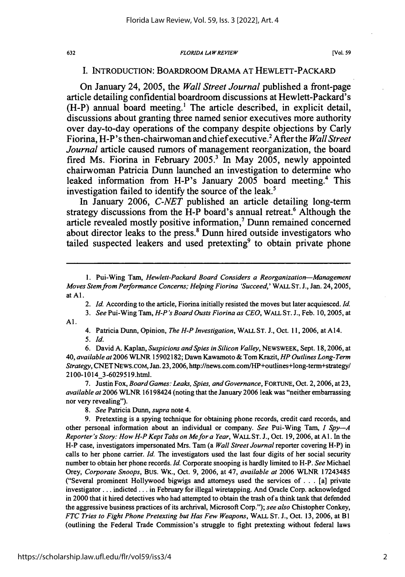#### *FLORIDA LA W REVIEW*

### I. INTRODUCTION: BOARDROOM DRAMA **AT** HEWLETT-PACKARD

On January 24, **2005,** the *Wall Street Journal* published a front-page article detailing confidential boardroom discussions at Hewlett-Packard's (H-P) annual board meeting.' The article described, in explicit detail, discussions about granting three named senior executives more authority over day-to-day operations of the company despite objections **by** Carly Fiorina, H-P's then-chairwoman and chief executive.2 After the *Wall Street Journal* article caused rumors of management reorganization, the board fired Ms. Fiorina in February **2005.'** In May **2005,** newly appointed chairwoman Patricia Dunn launched an investigation to determine who leaked information from H-P's January **2005** board meeting.4 This investigation failed to identify the source of the leak.<sup>5</sup>

In January **2006,** *C-NET* published an article detailing long-term strategy discussions from the  $\hat{H}$ -P board's annual retreat.<sup>6</sup> Although the article revealed mostly positive information,7 Dunn remained concerned about director leaks to the press.' Dunn hired outside investigators who tailed suspected leakers and used pretexting<sup>9</sup> to obtain private phone

- *2. Id.* According to the article, Fiorina initially resisted the moves but later acquiesced. *Id.*
- *3. See* Pui-Wing Tam, *H-P's Board Ousts Fiorina as CEO,* WALL ST. J., Feb. 10, 2005, at Al.
	- 4. Patricia Dunn, Opinion, *The H-P Investigation,* WALL ST. J., Oct. 11, 2006, at A14. *5. Id.*

**6.** David **A.** Kaplan, *Suspicions andSpies in Silicon Valley,* NEWSWEEK, Sept. 18,2006, at 40, *available at* 2006 WLNR 15902182; Dawn Kawamoto & Tom Krazit, HP *Outlines Long-Term Strategy,* CNETNEWS.COM, Jan. 23,2006, http://news.com.com/HP+outlines+long-term+strategy/ 2100-1014 3-6029519.html.

7. Justin Fox, *Board Games: Leaks, Spies, and Governance,* FORTUNE, Oct. 2,2006, at 23, *available at* 2006 WLNR 16198424 (noting that the January 2006 leak was "neither embarrassing nor very revealing").

*8. See* Patricia Dunn, *supra* note 4.

9. Pretexting is a spying technique for obtaining phone records, credit card records, and other personal information about an individual or company. *See* Pui-Wing Tam, *I Spy--A Reporter's Story: How H-P Kept Tabs on Mefor a Year,* WALL ST. J., Oct. 19, 2006, at **Al.** In the H-P case, investigators impersonated Mrs. Tam (a *Wall Street Journal* reporter covering H-P) in calls to her phone carrier. *Id.* The investigators used the last four digits of her social security number to obtain her phone records. *Id.* Corporate snooping is hardly limited to H-P. *See* Michael Orey, *Corporate Snoops,* Bus. WK., Oct. 9, 2006, at 47, *available at* 2006 WLNR 17243485 ("Several prominent Hollywood bigwigs and attorneys used the services of... [a] private investigator... indicted... in February for illegal wiretapping. And Oracle Corp. acknowledged in 2000 that it hired detectives who had attempted to obtain the trash of a think tank that defended the aggressive business practices of its archrival, Microsoft Corp."); *see also* Chistopher Conkey, *FTC Tries to Fight Phone Pretexting but Has Few Weapons,* WALL ST. J., Oct. 13, 2006, at **BI** (outlining the Federal Trade Commission's struggle to fight pretexting without federal laws

<sup>1.</sup> Pui-Wing Tam, *Hewlett-Packard Board Considers a Reorganization-Management Moves Stem from Performance Concerns; Helping Fiorina 'Succeed,'* WALL **ST.** J., Jan. 24,2005, at **Al.**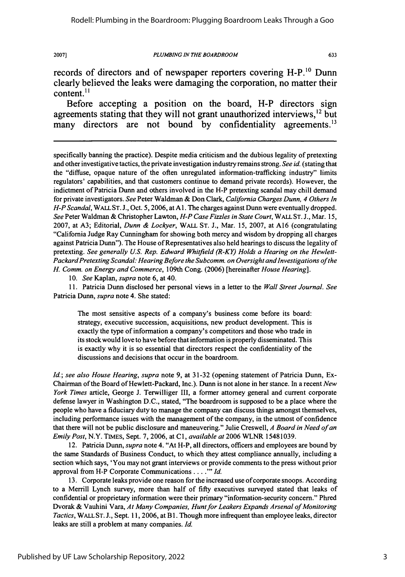#### *PLUMBING IN THE BOARDROOM*

633

records of directors and of newspaper reporters covering H-P.<sup>10</sup> Dunn clearly believed the leaks were damaging the corporation, no matter their content. $^{11}$ 

Before accepting a position on the board, H-P directors sign agreements stating that they will not grant unauthorized interviews,<sup>12</sup> but many directors are not bound by confidentiality agreements.<sup>13</sup>

specifically banning the practice). Despite media criticism and the dubious legality of pretexting and other investigative tactics, the private investigation industry remains strong. *See id.* (stating that the "diffuse, opaque nature of the often unregulated information-trafficking industry" limits regulators' capabilities, and that customers continue to demand private records). However, the indictment of Patricia Dunn and others involved in the H-P pretexting scandal may chill demand for private investigators. *See* Peter Waldman & Don Clark, *California Charges Dunn, 4 Others In H-P Scandal,* WALL ST. **J.,** Oct. 5, 2006, at **Al.** The charges against Dunn were eventually dropped. *See* Peter Waldman & Christopher Lawton, *H-P Case Fizzles in State Court,* **WALL ST.** J., Mar. 15, 2007, at A3; Editorial, *Dunn & Lockyer,* WALL ST. J., Mar. 15, 2007, at A16 (congratulating "California Judge Ray Cunningham for showing both mercy and wisdom by dropping all charges against Patricia Dunn"). The House of Representatives also held hearings to discuss the legality of pretexting. *See generally U.S. Rep. Edward Whitfield (R-KY) Holds a Hearing on the Hewlett-*Packard Pretexting Scandal: Hearing Before the Subcomm. on Oversight and Investigations of the *H. Comm. on Energy and Commerce,* 109th Cong. (2006) [hereinafter *House Hearing].*

10. *See* Kaplan, *supra* note 6, at 40.

11. Patricia Dunn disclosed her personal views in a letter to the *Wall Street Journal. See* Patricia Dunn, *supra* note 4. She stated:

The most sensitive aspects of a company's business come before its board: strategy, executive succession, acquisitions, new product development. This is exactly the type of information a company's competitors and those who trade in its stock would love to have before that information is properly disseminated. This is exactly why it is so essential that directors respect the confidentiality of the discussions and decisions that occur in the boardroom.

*Id.; see also House Hearing, supra* note 9, at 31-32 (opening statement of Patricia Dunn, Ex-Chairman of the Board of Hewlett-Packard, Inc.). Dunn is not alone in her stance. In a recent *New York Times* article, George J. Terwilliger III, a former attorney general and current corporate defense lawyer in Washington D.C., stated, "The boardroom is supposed to be a place where the people who have a fiduciary duty to manage the company can discuss things amongst themselves, including performance issues with the management of the company, in the utmost of confidence that there will not be public disclosure and maneuvering." Julie Creswell, *A Board in Need of an Emily Post,* N.Y. TIMES, Sept. 7, 2006, at C1, *available at* 2006 WLNR 15481039.

12. Patricia Dunn, *supra* note 4. "At H-P, all directors, officers and employees are bound by the same Standards of Business Conduct, to which they attest compliance annually, including a section which says, 'You may not grant interviews or provide comments to the press without prior approval from H-P Corporate Communications . . . . " *Id.* 

13. Corporate leaks provide one reason for the increased use of corporate snoops. According to a Merrill Lynch survey, more than half of fifty executives surveyed stated that leaks of confidential or proprietary information were their primary "information-security concern." Phred Dvorak & Vauhini Vara, *At Many Companies, Hunt for Leakers Expands Arsenal of Monitoring Tactics,* WALL **ST.** J., Sept. 11, 2006, at B 1. Though more infrequent than employee leaks, director leaks are still a problem at many companies. *Id.*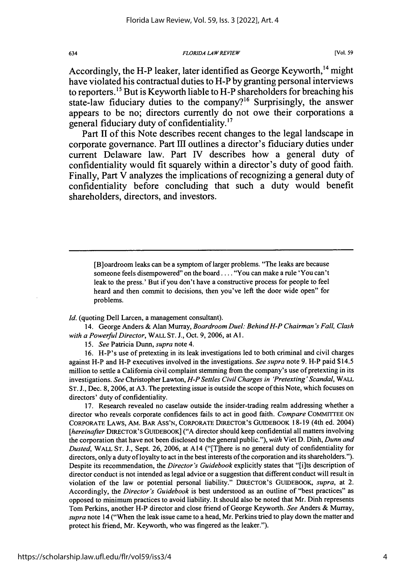*FLORIDA LAW REVIEW*

Accordingly, the H-P leaker, later identified as George Keyworth,  $^{14}$  might have violated his contractual duties to H-P **by** granting personal interviews to reporters.<sup>15</sup> But is Keyworth liable to H-P shareholders for breaching his state-law fiduciary duties to the company?<sup>16</sup> Surprisingly, the answer appears to be no; directors currently do not owe their corporations a general fiduciary duty of confidentiality. $17$ 

Part **11** of this Note describes recent changes to the legal landscape in corporate governance. Part **Il** outlines a director's fiduciary duties under current Delaware law. Part **IV** describes how a general duty of confidentiality would fit squarely within a director's duty of good faith. Finally, Part V analyzes the implications of recognizing a general duty of confidentiality before concluding that such a duty would benefit shareholders, directors, and investors.

[B]oardroom leaks can be a symptom of larger problems. "The leaks are because someone feels disempowered" on the board **....** You can make a rule 'You can't leak to the press.' But if you don't have a constructive process for people to feel heard and then commit to decisions, then you've left the door wide open" for problems.

*Id.* (quoting Dell Larcen, a management consultant).

14. George Anders & Alan Murray, Boardroom *Duel: Behind H-P Chairman 's Fall, Clash with a Powerful Director,* WALL *ST.* J., Oct. 9, 2006, at **Al.**

*15. See* Patricia Dunn, *supra* note 4.

16. H-P's use of pretexting in its leak investigations led to both criminal and civil charges against H-P and H-P executives involved in the investigations. *See* supra note 9. H-P paid \$14.5 million to settle a California civil complaint stemming from the company's use of pretexting in its investigations. *See* Christopher Lawton, *H-P Settles Civil Charges in 'Pretexting' Scandal, WALL* ST. **J.,** Dec. 8, 2006, at A3. The pretexting issue is outside the scope of this Note, which focuses on directors' duty of confidentiality.

17. Research revealed no caselaw outside the insider-trading realm addressing whether a director who reveals corporate confidences fails to act in good faith. *Compare* COMMrrTEE ON CORPORATE LAWS, AM. BAR Ass'N, CORPORATE DIRECTOR'S GUIDEBOOK 18-19 (4th ed. 2004) *[hereinafter* DIRECTOR'S GUIDEBOOK] ("A director should keep confidential all matters involving the corporation that have not been disclosed to the general public."), *with* Viet D. Dinh, *Dunn and Dusted,* WALL ST. J., Sept. 26, 2006, at A14 ("[T]here is no general duty of confidentiality for directors, only a duty of loyalty to act in the best interests of the corporation and its shareholders."). Despite its recommendation, the *Director's Guidebook* explicitly states that "[i]ts description of director conduct is not intended as legal advice or a suggestion that different conduct will result in violation of the law or potential personal liability." DIRECTOR'S GUIDEBOOK, *supra,* at 2. Accordingly, the Director's *Guidebook* is best understood as an outline of "best practices" as opposed to minimum practices to avoid liability. It should also be noted that Mr. Dinh represents Tom Perkins, another H-P director and close friend of George Keyworth. *See* Anders & Murray, *supra* note 14 ("When the leak issue came to a head, Mr. Perkins tried to play down the matter and protect his friend, Mr. Keyworth, who was fingered as the leaker.").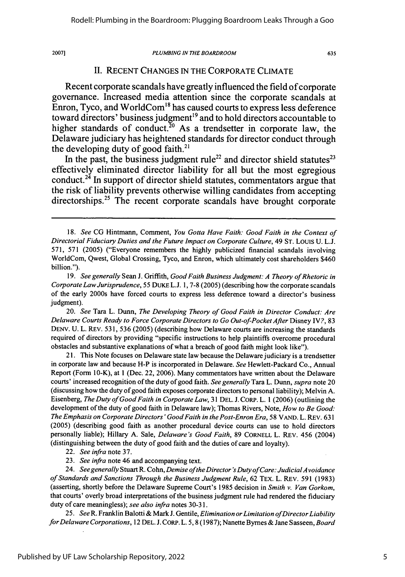#### *PLUMBING IN THE BOARDROOM*

635

### **11.** RECENT CHANGES IN THE CORPORATE CLIMATE

Recent corporate scandals have greatly influenced the field of corporate governance. Increased media attention since the corporate scandals at Enron, Tyco, and WorldCom"8 has caused courts to express less deference toward directors' business judgment<sup>19</sup> and to hold directors accountable to higher standards of conduct.<sup>20</sup> As a trendsetter in corporate law, the Delaware judiciary has heightened standards for director conduct through the developing duty of good faith.<sup>21</sup>

In the past, the business judgment rule<sup>22</sup> and director shield statutes<sup>23</sup> effectively eliminated director liability for all but the most egregious conduct.24 **In** support of director shield statutes, commentators argue that the risk of liability prevents otherwise willing candidates from accepting directorships.<sup>25</sup> The recent corporate scandals have brought corporate

20. *See* Tara L. Dunn, *The Developing Theory of Good Faith in Director Conduct: Are Delaware Courts Ready to Force Corporate Directors to Go Out-of-Pocket After Disney IV?, 83* DENY. U. L. REV. 531, 536 (2005) (describing how Delaware courts are increasing the standards required of directors by providing "specific instructions to help plaintiffs overcome procedural obstacles and substantive explanations of what a breach of good faith might look like").

21. This Note focuses on Delaware state law because the Delaware judiciary is a trendsetter in corporate law and because H-P is incorporated in Delaware. *See* Hewlett-Packard Co., Annual Report (Form 10-K), at 1 (Dec. 22, 2006). Many commentators have written about the Delaware courts' increased recognition of the duty of good faith. *See generally* Tara L. Dunn, *supra* note 20 (discussing how the duty of good faith exposes corporate directors to personal liability); Melvin A. Eisenberg, *The Duty of GoodFaith in Corporate Law,* 31 DEL. J. CORP. L. 1 (2006) (outlining the development of the duty of good faith in Delaware law); Thomas Rivers, Note, *How to Be Good: The Emphasis on Corporate Directors' Good Faith in the Post-Enron Era,* 58 VAND. L. REV. 631 (2005) (describing good faith as another procedural device courts can use to hold directors personally liable); Hillary A. Sale, *Delaware's Good Faith,* 89 CORNELL L. REV. 456 (2004) (distinguishing between the duty of good faith and the duties of care and loyalty).

24. See generally Stuart R. Cohn, *Demise of the Director's Duty of Care: Judicial Avoidance of Standards and Sanctions Through the Business Judgment Rule,* 62 TEx. L. REV. 591 (1983) (asserting, shortly before the Delaware Supreme Court's 1985 decision in *Smith v. Van Gorkom,* that courts' overly broad interpretations of the business judgment rule had rendered the fiduciary duty of care meaningless); *see also infra* notes 30-31.

25. *See R.* Franklin Balotti & Mark *J.* Gentile, *Elimination or Limitation ofDirector Liability for Delaware Corporations,* 12 DEL. J. CORP. L. 5, 8 (1987); Nanette Byrnes & Jane Sasseen, *Board*

*<sup>18.</sup> See* CG Hintmann, Comment, *You Gotta Have Faith: Good Faith in the Context of Directorial Fiduciary Duties and the Future Impact on Corporate Culture,* 49 ST. Louis U. L.J. 571, 571 (2005) ("Everyone remembers the highly publicized financial scandals involving WorldCom, Qwest, Global Crossing, Tyco, and Enron, which ultimately cost shareholders \$460 billion.").

<sup>19.</sup> *See generally* Sean J. Griffith, *Good Faith Business Judgment: A Theory of Rhetoric in Corporate Law Jurisprudence,* 55 DuKE L.J. **1, 7-8** (2005) (describing how the corporate scandals of the early 2000s have forced courts to express less deference toward a director's business judgment).

<sup>22.</sup> *See infra* note 37.

<sup>23.</sup> *See infra* note 46 and accompanying text.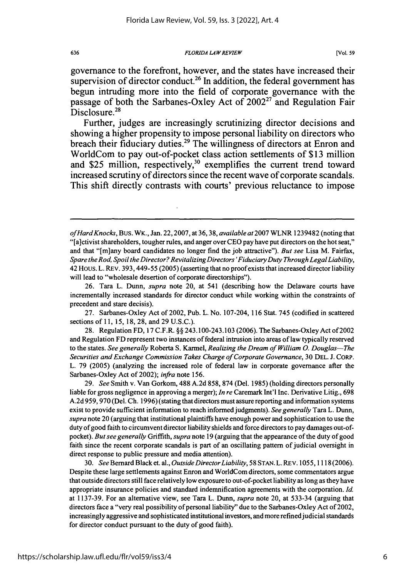*FLORIDA LAW REVIEW*

governance to the forefront, however, and the states have increased their supervision of director conduct.<sup>26</sup> In addition, the federal government has begun intruding more into the field of corporate governance with the passage of both the Sarbanes-Oxley Act of  $2002^{27}$  and Regulation Fair Disclosure.<sup>28</sup>

Further, judges are increasingly scrutinizing director decisions and showing a higher propensity to impose personal liability on directors who breach their fiduciary duties.<sup>29</sup> The willingness of directors at Enron and WorldCom to pay out-of-pocket class action settlements of **\$13** million and \$25 million, respectively,<sup>30</sup> exemplifies the current trend toward increased scrutiny of directors since the recent wave of corporate scandals. This shift directly contrasts with courts' previous reluctance to impose

27. Sarbanes-Oxley Act of 2002, Pub. L. No. 107-204, 116 Stat. 745 (codified in scattered sections of 11, 15, 18, 28, and 29 U.S.C.).

28. Regulation FD, 17 C.F.R. §§ 243.100-243.103 (2006). The Sarbanes-OxleyAct of 2002 and Regulation FD represent two instances of federal intrusion into areas of law typically reserved to the states. *See generally* Roberta S. Karmel, *Realizing the Dream of William 0. Douglas-The Securities and Exchange Commission Takes Charge of Corporate Governance,* 30 DEL. J. CORP. L. 79 (2005) (analyzing the increased role of federal law in corporate governance after the Sarbanes-Oxley Act of 2002); *infra* note 156.

29. *See* Smith v. Van Gorkom, 488 A.2d 858, 874 (Del. 1985) (holding directors personally liable for gross negligence in approving a merger); *In re* Caremark Int'l Inc. Derivative Litig., 698 A.2d 959, 970 (Del. Ch. 1996) (stating that directors must assure reporting and information systems exist to provide sufficient information to reach informed judgments). *See generally* Tara L. Dunn, *supra* note 20 (arguing that institutional plaintiffs have enough power and sophistication to use the duty of good faith to circumvent director liability shields and force directors to pay damages out-ofpocket). *But see generally* Griffith, *supra* note 19 (arguing that the appearance of the duty of good faith since the recent corporate scandals is part of an oscillating pattern of judicial oversight in direct response to public pressure and media attention).

30. *See* Bernard Black et. al., *Outside DirectorLiability,* 58 STAN. L. REv. 1055, 1118 (2006). Despite these large settlements against Enron and WorldCom directors, some commentators argue that outside directors still face relatively low exposure to out-of-pocket liability as long as they have appropriate insurance policies and standard indemnification agreements with the corporation. *Id.* at 1137-39. For an alternative view, see Tara L. Dunn, *supra* note 20, at 533-34 (arguing that directors face a "very real possibility of personal liability" due to the Sarbanes-Oxley Act of 2002, increasingly aggressive and sophisticated institutional investors, and more refinedjudicial standards for director conduct pursuant to the duty of good faith).

636

*of Hard Knocks,* Bus. WK., Jan. 22,2007, at 36,38, *available at* 2007 WLNR 1239482 (noting that "[a]ctivist shareholders, tougher rules, and anger over CEO pay have put directors on the hot seat," and that "[m]any board candidates no longer find the job attractive"). *But see* Lisa M. Fairfax, *Spare the Rod, Spoil the Director? Revitalizing Directors 'Fiduciary Duty Through LegalLiability,* 42 Hous. L. REv. 393,449-55 (2005) (asserting that no proof exists that increased director liability will lead to "wholesale desertion of corporate directorships").

<sup>26.</sup> Tara L. Dunn, *supra* note 20, at 541 (describing how the Delaware courts have incrementally increased standards for director conduct while working within the constraints of precedent and stare decisis).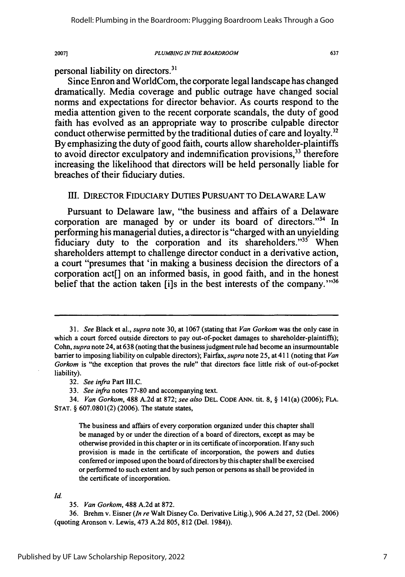#### *PLUMBING IN THE BOARDROOM*

637

personal liability on directors.3'

Since Enron and WorldCom, the corporate legal landscape has changed dramatically. Media coverage and public outrage have changed social norms and expectations for director behavior. As courts respond to the media attention given to the recent corporate scandals, the duty of good faith has evolved as an appropriate way to proscribe culpable director conduct otherwise permitted by the traditional duties of care and loyalty.<sup>32</sup> **By** emphasizing the duty of good faith, courts allow shareholder-plaintiffs to avoid director exculpatory and indemnification provisions.<sup>33</sup> therefore increasing the likelihood that directors will be held personally liable for breaches of their fiduciary duties.

### **11.** DIRECTOR FIDUCIARY DUTIES PURSUANT TO DELAWARE LAW

Pursuant to Delaware law, "the business and affairs of a Delaware corporation are managed **by** or under its board of directors."34 In performing his managerial duties, a director is "charged with an unyielding fiduciary duty to the corporation and its shareholders."<sup>35</sup> When shareholders attempt to challenge director conduct in a derivative action, a court "presumes that 'in making a business decision the directors of a corporation act[] on an informed basis, in good faith, and in the honest belief that the action taken [i]s in the best interests of the company. $136$ 

32. *See infra* Part III.C.

33. *See infra* notes 77-80 and accompanying text.

34. *Van Gorkom,* 488 A.2d at 872; *see also* **DEL. CODE** ANN. tit. 8, § 141(a) (2006); **FLA. STAT.** § 607.0801(2) (2006). The statute states,

The business and affairs of every corporation organized under this chapter shall be managed by or under the direction of a board of directors, except as may be otherwise provided in this chapter or in its certificate of incorporation. If any such provision is made in the certificate of incorporation, the powers and duties conferred or imposed upon the board of directors by this chapter shall be exercised or performed to such extent and by such person or persons as shall be provided in the certificate of incorporation.

Id.

35. *Van Gorkom,* 488 A.2d at 872.

36. Brehm v. Eisner *(In re* Walt Disney Co. Derivative Litig.), 906 A.2d 27, 52 (Del. 2006) (quoting Aronson v. Lewis, 473 A.2d 805, 812 (Del. 1984)).

<sup>31.</sup> *See* Black et al., *supra* note 30, at 1067 (stating that *Van Gorkom* was the only case in which a court forced outside directors to pay out-of-pocket damages to shareholder-plaintiffs); Cohn, *supra* note 24, at 638 (noting that the business judgment rule had become an insurmountable barrier to imposing liability on culpable directors); Fairfax, *supra* note 25, at 411 (noting that *Van Gorkom* is "the exception that proves the rule" that directors face little risk of out-of-pocket liability).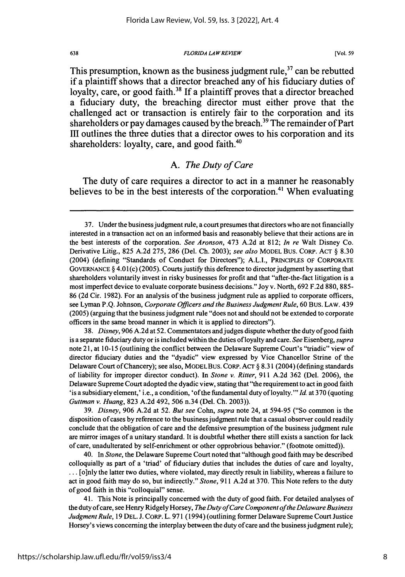*FLORIDA LAW REVIEW*

**[Vol. 59**

This presumption, known as the business judgment rule,  $37$  can be rebutted if a plaintiff shows that a director breached any of his fiduciary duties of loyalty, care, or good faith.<sup>38</sup> If a plaintiff proves that a director breached a fiduciary duty, the breaching director must either prove that the challenged act or transaction is entirely fair to the corporation and its shareholders or pay damages caused **by** the breach.39 The remainder of Part **III** outlines the three duties that a director owes to his corporation and its shareholders: loyalty, care, and good faith. $40$ 

# *A. The Duty of Care*

The duty of care requires a director to act in a manner he reasonably believes to be in the best interests of the corporation.<sup>41</sup> When evaluating

38. *Disney,* 906 A.2d at 52. Commentators and judges dispute whether the duty of good faith is a separate fiduciary duty or is included within the duties of loyalty and care. *See* Eisenberg, *supra* note 21, at 10-15 (outlining the conflict between the Delaware Supreme Court's "triadic" view of director fiduciary duties and the "dyadic" view expressed by Vice Chancellor Strine of the Delaware Court of Chancery); see also, MODEL Bus. CORP. ACT § 8.31 (2004) (defining standards of liability for improper director conduct). In *Stone v. Ritter,* 911 A.2d 362 (Del. 2006), the Delaware Supreme Court adopted the dyadic view, stating that "the requirement to act in good faith 'is a subsidiary element,' i.e., a condition, 'of the fundamental duty of loyalty."' *Id.* at **370** (quoting *Guttman v. Huang,* 823 A.2d 492, 506 n.34 (Del. Ch. 2003)).

39. *Disney,* 906 A.2d at 52. *But see* Cohn, *supra* note 24, at 594-95 ("So common is the disposition of cases by reference to the business judgment rule that a casual observer could readily conclude that the obligation of care and the defensive presumption of the business judgment rule are mirror images of a unitary standard. It is doubtful whether there still exists a sanction for lack of care, unadulterated by self-enrichment or other opprobrious behavior." (footnote omitted)).

40. In *Stone,* the Delaware Supreme Court noted that "although good faith may be described colloquially as part of a 'triad' of fiduciary duties that includes the duties of care and loyalty, **...** [o]nly the latter two duties, where violated, may directly result in liability, whereas a failure to act in good faith may do so, but indirectly." *Stone,* 911 A.2d at 370. This Note refers to the duty of good faith in this "colloquial" sense.

41. This Note is principally concerned with the duty of good faith. For detailed analyses of the duty of care, see Henry Ridgely Horsey, *The Duty of Care Component of the Delaware Business Judgment Rule,* 19 DEL. J. CORP. L. 971 (1994) (outlining former Delaware Supreme Court Justice Horsey's views concerning the interplay between the duty of care and the business judgment rule);

<sup>37.</sup> Under the business judgment rule, a court presumes that directors who are not financially interested in a transaction act on an informed basis and reasonably believe that their actions are in the best interests of the corporation. *See Aronson,* 473 A.2d at 812; *In re* Walt Disney Co. Derivative Litig., 825 A.2d 275, 286 (Del. Ch. 2003); *see also* MODEL Bus. CORP. ACT § 8.30 (2004) (defining "Standards of Conduct for Directors"); A.L.I., PRINCIPLES OF CORPORATE GOVERNANCE § 4.01 (c) (2005). Courts justify this deference to director judgment by asserting that shareholders voluntarily invest in risky businesses for profit and that "after-the-fact litigation is a most imperfect device to evaluate corporate business decisions." Joy v. North, 692 F.2d 880, 885- 86 (2d Cir. 1982). For an analysis of the business judgment rule as applied to corporate officers, see Lyman P.Q. Johnson, *Corporate Officers and the Business Judgment Rule,* **60** Bus. LAW. 439 (2005) (arguing that the business judgment rule "does not and should not be extended to corporate officers in the same broad manner in which it is applied to directors").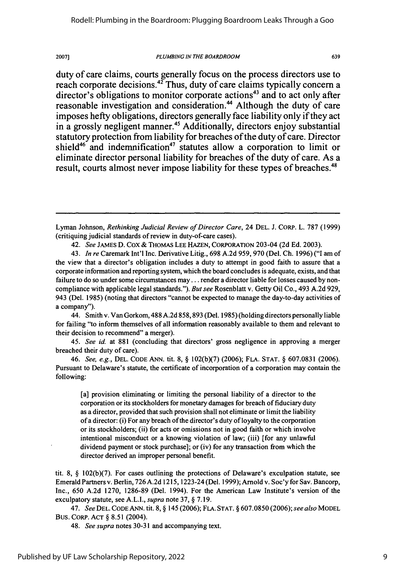#### *PLUMBING IN THE BOARDROOM*

639

duty of care claims, courts generally focus on the process directors use to reach corporate decisions.<sup>42</sup> Thus, duty of care claims typically concern a director's obligations to monitor corporate actions<sup>43</sup> and to act only after reasonable investigation and consideration.<sup>44</sup> Although the duty of care imposes hefty obligations, directors generally face liability only if they act in a grossly negligent manner.<sup>45</sup> Additionally, directors enjoy substantial statutory protection from liability for breaches of the duty of care. Director shield<sup>46</sup> and indemnification<sup>47</sup> statutes allow a corporation to limit or eliminate director personal liability for breaches of the duty of care. As a result, courts almost never impose liability for these types of breaches.<sup>48</sup>

44. Smith v. Van Gorkom, 488 A.2d 858,893 (Del. 1985) (holding directors personally liable for failing "to inform themselves of all information reasonably available to them and relevant to their decision to recommend" a merger).

*45. See id.* at 881 (concluding that directors' gross negligence in approving a merger breached their duty of care).

46. *See, e.g.,* DEL. CODE ANN. tit. 8, § 102(b)(7) (2006); FLA. STAT. § 607.0831 (2006). Pursuant to Delaware's statute, the certificate of incorporation of a corporation may contain the following:

[a] provision eliminating or limiting the personal liability of a director to the corporation or its stockholders for monetary damages for breach of fiduciary duty as a director, provided that such provision shall not eliminate or limit the liability of a director: (i) For any breach of the director's duty of loyalty to the corporation or its stockholders; (ii) for acts or omissions not in good faith or which involve intentional misconduct or a knowing violation of law; (iii) [for any unlawful dividend payment or stock purchase]; or (iv) for any transaction from which the director derived an improper personal benefit.

tit. 8, § 102(b)(7). For cases outlining the protections of Delaware's exculpation statute, see Emerald Partners v. Berlin, 726 A.2d 1215, 1223-24 (Del. 1999); Arnold v. Soc'y for Sav. Bancorp, Inc., 650 A.2d 1270, 1286-89 (Del. 1994). For the American Law Institute's version of the exculpatory statute, see A.L.I., *supra* note 37, § 7.19.

47. *See* DEL. CODE ANN. tit. 8, § 145 (2006); FLA. STAT. § 607.0850 (2006); *see also* MODEL Bus. CORP. ACT § 8.51 (2004).

48. *See supra* notes 30-31 and accompanying text.

Lyman Johnson, *Rethinking Judicial Review of Director Care,* 24 DEL. J. CORP. L. 787 (1999) (critiquing judicial standards of review in duty-of-care cases).

<sup>42.</sup> *See* JAMES D. Cox & THOMAS LEE HAZEN, CORPORATION 203-04 (2d **Ed.** 2003).

<sup>43.</sup> *In re* Caremark Int'l Inc. Derivative Litig., 698 A.2d 959, 970 (Del. **Ch.** 1996) **("1** am of the view that a director's obligation includes a duty to attempt in good faith to assure that a corporate information and reporting system, which the board concludes is adequate, exists, and that failure to do so under some circumstances may... render a director liable for losses caused by noncompliance with applicable legal standards."). *But see* Rosenblatt v. Getty Oil Co., 493 A.2d 929, 943 (Del. 1985) (noting that directors "cannot be expected to manage the day-to-day activities of a company").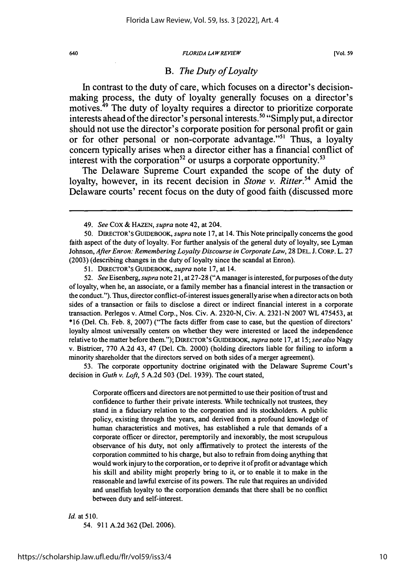#### *FLORIDA LAW REVIEW*

# *B. The Duty of Loyalty*

In contrast to the duty of care, which focuses on a director's decisionmaking process, the duty of loyalty generally focuses on a director's motives.<sup>49</sup> The duty of loyalty requires a director to prioritize corporate interests ahead of the director's personal interests.<sup>50</sup> "Simply put, a director should not use the director's corporate position for personal profit or gain or for other personal or non-corporate advantage."<sup>51</sup> Thus, a loyalty concern typically arises when a director either has a financial conflict of interest with the corporation<sup>52</sup> or usurps a corporate opportunity.<sup>53</sup>

The Delaware Supreme Court expanded the scope of the duty of loyalty, however, in its recent decision in *Stone v. Ritter.*<sup>54</sup> Amid the Delaware courts' recent focus on the duty of good faith (discussed more

51. DIRECTOR'S GUIDEBOOK, *supra* note 17, at 14.

52. *See* Eisenberg, *supra* note 21, at 27-28 ("A manager is interested, for purposes of the duty of loyalty, when he, an associate, or a family member has a financial interest in the transaction or the conduct."). Thus, director conflict-of-interest issues generally arise when a director acts on both sides of a transaction or fails to disclose a direct or indirect financial interest in a corporate transaction. Perlegos v. Atmel Corp., Nos. Civ. A. 2320-N, Civ. A. 2321-N 2007 WL 475453, at **\*16** (Del. Ch. Feb. 8, 2007) ("The facts differ from case to case, but the question of directors' loyalty almost universally centers on whether they were interested or laced the independence relative to the matter before them."); DIRECTOR'S GUIDEBOOK, *supra* note 17, at 15; *see also* Nagy v. Bistricer, 770 A.2d 43, 47 (Del. Ch. 2000) (holding directors liable for failing to inform a minority shareholder that the directors served on both sides of a merger agreement).

53. The corporate opportunity doctrine originated with the Delaware Supreme Court's decision in *Guth v. Loft,* 5 A.2d 503 (Del. 1939). The court stated,

Corporate officers and directors are not permitted to use their position of trust and confidence to further their private interests. While technically not trustees, they stand in a fiduciary relation to the corporation and its stockholders. A public policy, existing through the years, and derived from a profound knowledge of human characteristics and motives, has established a rule that demands of a corporate officer or director, peremptorily and inexorably, the most scrupulous observance of his duty, not only affirmatively to protect the interests of the corporation committed to his charge, but also to refrain from doing anything that would work injury to the corporation, or to deprive it of profit or advantage which his skill and ability might properly bring to it, or to enable it to make in the reasonable and lawful exercise of its powers. The rule that requires an undivided and unselfish loyalty to the corporation demands that there shall be no conflict between duty and self-interest.

#### *Id.* at 510.

54. 911 A.2d 362 (Del. 2006).

<sup>49.</sup> *See* Cox & HAZEN, *supra* note 42, at 204.

<sup>50.</sup> DIRECTOR'S GUIDEBOOK, *supra* note **17,** at 14. This Note principally concerns the good faith aspect of the duty of loyalty. For further analysis of the general duty of loyalty, see Lyman Johnson, *After Enron: Remembering Loyalty Discourse in Corporate Law,* 28 DEL. J. CORP. L. 27 (2003) (describing changes in the duty of loyalty since the scandal at Enron).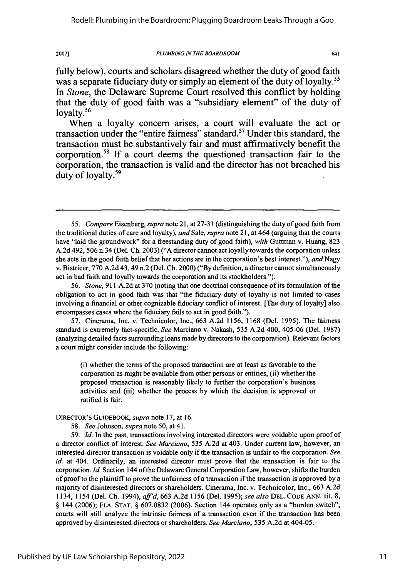#### *PLUMBING IN THE BOARDROOM*

641

fully below), courts and scholars disagreed whether the duty of good faith was a separate fiduciary duty or simply an element of the duty of loyalty.<sup>55</sup> *In Stone,* the Delaware Supreme Court resolved this conflict **by** holding that the duty of good faith was a "subsidiary element" of the duty of loyalty.<sup>56</sup>

When a loyalty concern arises, a court will evaluate the act or transaction under the "entire fairness" standard.57 Under this standard, the transaction must be substantively fair and must affirmatively benefit the corporation.58 **If** a court deems the questioned transaction fair to the corporation, the transaction is valid and the director has not breached his duty of loyalty.<sup>59</sup>

57. Cinerama, Inc. v. Technicolor, Inc., 663 A.2d 1156, 1168 (Del. 1995). The fairness standard is extremely fact-specific. *See* Marciano v. Nakash, 535 A.2d 400, 405-06 (Del. 1987) (analyzing detailed facts surrounding loans made by directors to the corporation). Relevant factors a court might consider include the following:

(i) whether the terms of the proposed transaction are at least as favorable to the corporation as might be available from other persons or entities, (ii) whether the proposed transaction is reasonably likely to further the corporation's business activities and (iii) whether the process by which the decision is approved or ratified is fair.

DIRECTOR'S GUIDEBOOK, *supra* note 17, at 16.

58. *See* Johnson, *supra* note 50, at 41.

59. *Id.* In the past, transactions involving interested directors were voidable upon proof of a director conflict of interest. *See Marciano,* 535 A.2d at 403. Under current law, however, an interested-director transaction is voidable only if the transaction is unfair to the corporation. *See id.* at 404. Ordinarily, an interested director must prove that the transaction is fair to the corporation. *Id.* Section 144 of the Delaware General Corporation Law, however, shifts the burden of proof to the plaintiff to prove the unfairness of a transaction if the transaction is approved by a majority of disinterested directors or shareholders. Cinerama, Inc. v. Technicolor, Inc., 663 A.2d 1134, 1154 (Del. Ch. 1994), *aff'd,* 663 A.2d 1156 (Del. 1995); *see also* DEL. CODE ANN. tit. 8, § 144 (2006); FLA. STAT. § 607.0832 (2006). Section 144 operates only as a "burden switch"; courts will still analyze the intrinsic fairness of a transaction even if the transaction has been approved by disinterested directors or shareholders. *See Marciano,* 535 A.2d at 404-05.

<sup>55.</sup> *Compare* Eisenberg, *supra* note 21, at 27-31 (distinguishing the duty of good faith from the traditional duties of care and loyalty), *and* Sale, *supra* note 21, at 464 (arguing that the courts have "laid the groundwork" for a freestanding duty of good faith), *with* Guttman v. Huang, 823 A.2d 492, 506 n.34 (Del. Ch. 2003) ("A director cannot act loyally towards the corporation unless she acts in the good faith belief that her actions are in the corporation's best interest."), *and Nagy* v. Bistricer, 770 A.2d 43, 49 n.2 (Del. Ch. 2000) ("By definition, a director cannot simultaneously act in bad faith and loyally towards the corporation and its stockholders.").

<sup>56.</sup> *Stone,* 911 A.2d at 370 (noting that one doctrinal consequence of its formulation of the obligation to act in good faith was that "the fiduciary duty of loyalty is not limited to cases involving a financial or other cognizable fiduciary conflict of interest. [The duty of loyalty] also encompasses cases where the fiduciary fails to act in good faith.").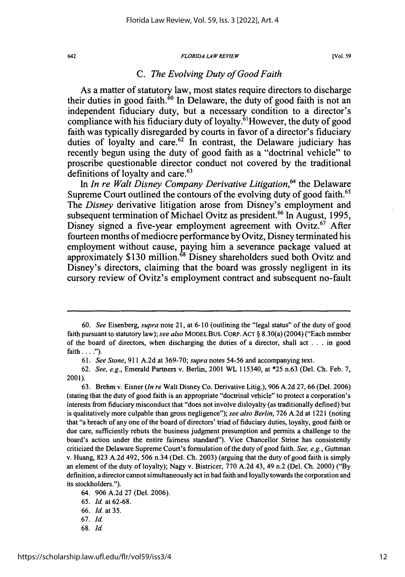#### *FLORIDA LAW REVIEW*

# *C. The Evolving Duty of Good Faith*

As a matter of statutory law, most states require directors to discharge their duties in good faith.<sup>60</sup> In Delaware, the duty of good faith is not an independent fiduciary duty, but a necessary condition to a director's compliance with his fiduciary duty of loyalty.<sup>61</sup>However, the duty of good faith was typically disregarded **by** courts in favor of a director's fiduciary duties of loyalty and care.<sup>62</sup> In contrast, the Delaware judiciary has recently begun using the duty of good faith as a "doctrinal vehicle" to proscribe questionable director conduct not covered **by** the traditional definitions of loyalty and care.<sup>63</sup>

In *In re Walt Disney Company Derivative Litigation*,<sup>64</sup> the Delaware Supreme Court outlined the contours of the evolving duty of good faith.<sup>65</sup> The *Disney* derivative litigation arose from Disney's employment and subsequent termination of Michael Ovitz as president.<sup>66</sup> In August, 1995, Disney signed a five-year employment agreement with Ovitz.<sup>67</sup> After fourteen months of mediocre performance **by** Ovitz, Disney terminated his employment without cause, paying him a severance package valued at approximately **\$130** million.68 Disney shareholders sued both Ovitz and Disney's directors, claiming that the board was grossly negligent in its cursory review of Ovitz's employment contract and subsequent no-fault

68. *Id.*

<sup>60.</sup> *See* Eisenberg, *supra* note 21, at 6-10 (outlining the "legal status" of the duty of good faith pursuant to statutory law); *see also* MODEL Bus. CORP. ACT § 8.30(a) (2004) ("Each member of the board of directors, when discharging the duties of a director, shall act . . . in good  $faith \ldots$ ").

<sup>61.</sup> *See Stone,* 911 A.2d at 369-70; *supra* notes 54-56 and accompanying text.

<sup>62.</sup> *See, e.g.,* Emerald Partners v. Berlin, 2001 WL 115340, at \*25 n.63 (Del. Ch. Feb. 7, 2001).

<sup>63.</sup> Brehm v. Eisner *(In re* Walt Disney Co. Derivative Litig.), 906 A.2d 27, 66 (Del. 2006) (stating that the duty of good faith is an appropriate "doctrinal vehicle" to protect a corporation's interests from fiduciary misconduct that "does not involve disloyalty (as traditionally defined) but is qualitatively more culpable than gross negligence"); *see also Berlin,* 726 A.2d at 1221 (noting that "a breach of any one of the board of directors' triad of fiduciary duties, loyalty, good faith or due care, sufficiently rebuts the business judgment presumption and permits a challenge to the board's action under the entire fairness standard"). Vice Chancellor Strine has consistently criticized the Delaware Supreme Court's formulation of the duty of good faith. *See, e.g.,* Guttman v. Huang, 823 A.2d 492, 506 n.34 (Del. Ch. 2003) (arguing that the duty of good faith is simply an element of the duty of loyalty); Nagy v. Bistricer, 770 A.2d 43, 49 n.2 (Del. Ch. 2000) ("By definition, a director cannot simultaneously act in bad faith and loyally towards the corporation and its stockholders.").

<sup>64. 906</sup> A.2d 27 (Del. 2006).

<sup>65.</sup> *Id.* at 62-68.

<sup>66.</sup> *Id.* at 35.

<sup>67.</sup> Id.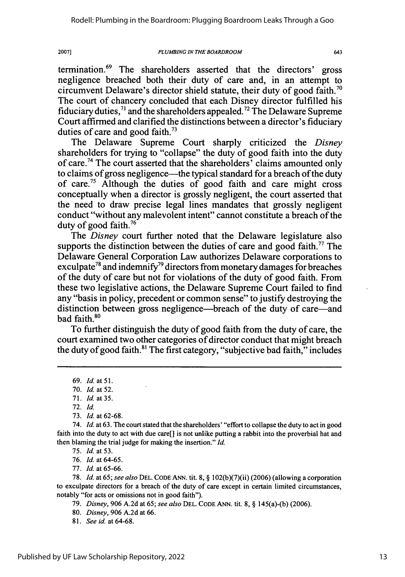*PLUMBING IN THE BOARDROOM*

termination. 69 The shareholders asserted that the directors' gross negligence breached both their duty of care and, in an attempt to circumvent Delaware's director shield statute, their duty of good faith.<sup>70</sup> The court of chancery concluded that each Disney director fulfilled his fiduciary duties,<sup>71</sup> and the shareholders appealed.<sup>72</sup> The Delaware Supreme Court affirmed and clarified the distinctions between a director's fiduciary duties of care and good faith.<sup>73</sup>

The Delaware Supreme Court sharply criticized the *Disney* shareholders for trying to "collapse" the duty of good faith into the duty of care.<sup>74</sup> The court asserted that the shareholders' claims amounted only to claims of gross negligence—the typical standard for a breach of the duty of care.75 Although the duties of good faith and care might cross conceptually when a director is grossly negligent, the court asserted that the need to draw precise legal lines mandates that grossly negligent conduct "without any malevolent intent" cannot constitute a breach of the duty of good faith.<sup>76</sup>

The *Disney* court further noted that the Delaware legislature also supports the distinction between the duties of care and good faith.<sup>77</sup> The Delaware General Corporation Law authorizes Delaware corporations to exculpate<sup>78</sup> and indemnify<sup>79</sup> directors from monetary damages for breaches of the duty of care but not for violations of the duty of good faith. From these two legislative actions, the Delaware Supreme Court failed to find any "basis in policy, precedent or common sense" to justify destroying the distinction between gross negligence—breach of the duty of care—and bad faith.<sup>80</sup>

To further distinguish the duty of good faith from the duty of care, the court examined two other categories of director conduct that might breach the duty of good faith.<sup>81</sup> The first category, "subjective bad faith," includes

20071

76. *Id.* at 64-65.

77. *Id.* at 65-66.

78. *Id.* at 65; *see also* DEL. CODE ANN. tit. 8, § 102(b)(7)(ii) (2006) (allowing a corporation to exculpate directors for a breach of the duty of care except in certain limited circumstances, notably "for acts or omissions not in good faith").

79. *Disney,* 906 A.2d at 65; *see also* DEL. CODE ANN. tit. 8, § 145(a)-(b) (2006).

*81. See id.* at 64-68.

<sup>69.</sup> *Id. at 51.*

**<sup>70.</sup>** *Id.* at 52.

<sup>71.</sup> *Id.* at 35.

<sup>72.</sup> Id.

<sup>73.</sup> *Id.* at 62-68.

<sup>74.</sup> *Id.* at 63. The court stated that the shareholders' "effort to collapse the duty to act in good faith into the duty to act with due care[] is not unlike putting a rabbit into the proverbial hat and then blaming the trial judge for making the insertion." *Id.*

*<sup>75.</sup> Id.* at 53.

<sup>80.</sup> *Disney,* 906 A.2d at 66.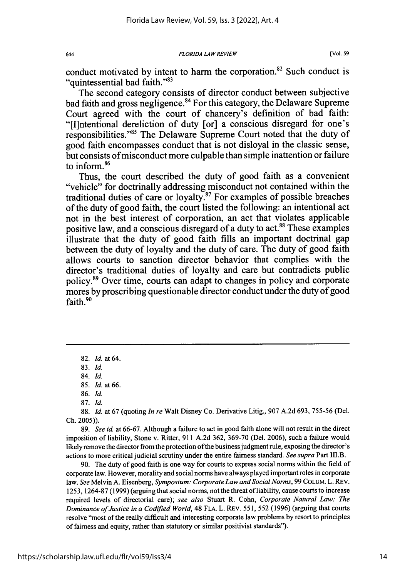*FLORIDA LAW REVIEW*

conduct motivated by intent to harm the corporation. $82$  Such conduct is "quintessential bad faith."<sup>83</sup>

The second category consists of director conduct between subjective bad faith and gross negligence.<sup>84</sup> For this category, the Delaware Supreme Court agreed with the court of chancery's definition of bad faith: "[I]ntentional dereliction of duty [or] a conscious disregard for one's responsibilities. '85 The Delaware Supreme Court noted that the duty of good faith encompasses conduct that is not disloyal in the classic sense, but consists of misconduct more culpable than simple inattention or failure to inform.<sup>86</sup>

Thus, the court described the duty of good faith as a convenient "vehicle" for doctrinally addressing misconduct not contained within the traditional duties of care or loyalty.<sup>87</sup> For examples of possible breaches of the duty of good faith, the court listed the following: an intentional act not in the best interest of corporation, an act that violates applicable positive law, and a conscious disregard of a duty to act.<sup>88</sup> These examples illustrate that the duty of good faith fills an important doctrinal gap between the duty of loyalty and the duty of care. The duty of good faith allows courts to sanction director behavior that complies with the director's traditional duties of loyalty and care but contradicts public policy. 89 Over time, courts can adapt to changes in policy and corporate mores by proscribing questionable director conduct under the duty of good faith.<sup>90</sup>

83. *Id.*

84. Id.

86. *Id.*

87. *Id.*

88. *Id.* at 67 (quoting *In re* Walt Disney Co. Derivative Litig., 907 A.2d 693, 755-56 (Del. Ch. 2005)).

89. *See id* at 66-67. Although a failure to act in good faith alone will not result in the direct imposition of liability, Stone v. Ritter, 911 A.2d 362, 369-70 (Del. 2006), such a failure would likely remove the director from the protection of the business judgment rule, exposing the director's actions to more critical judicial scrutiny under the entire fairness standard. *See supra* Part III.B.

90. The duty of good faith is one way for courts to express social norms within the field of corporate law. However, morality and social norms have always played important roles in corporate law. *See* Melvin A. Eisenberg, *Symposium: Corporate Law and Social Norms,* 99 COLUM. L. REV. 1253, 1264-87 (1999) (arguing that social norms, not the threat of liability, cause courts to increase required levels of directorial care); *see also* Stuart R. Cohn, *Corporate Natural Law: The Dominance of Justice in a Codified World,* 48 FLA. L. REv. 551, 552 (1996) (arguing that courts resolve "most of the really difficult and interesting corporate law problems by resort to principles of fairness and equity, rather than statutory or similar positivist standards").

644

<sup>82.</sup> *Id.* at 64.

<sup>85.</sup> *Id.* at 66.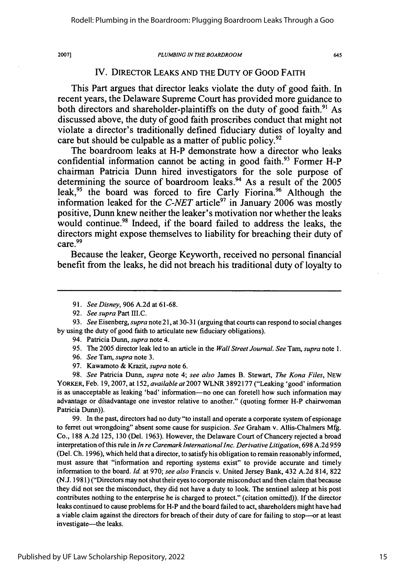#### *PLUMBING IN THE BOARDROOM*

645

### IV. DIRECTOR LEAKS **AND** THE DUTY OF GOOD FAITH

This Part argues that director leaks violate the duty of good faith. In recent years, the Delaware Supreme Court has provided more guidance to both directors and shareholder-plaintiffs on the duty of good faith.<sup>91</sup> As discussed above, the duty of good faith proscribes conduct that might not violate a director's traditionally defined fiduciary duties of loyalty and care but should be culpable as a matter of public policy.<sup>92</sup>

The boardroom leaks at H-P demonstrate how a director who leaks confidential information cannot be acting in good faith.<sup>93</sup> Former H-P chairman Patricia Dunn hired investigators for the sole purpose of determining the source of boardroom leaks.94 As a result of the **2005** leak,<sup>95</sup> the board was forced to fire Carly Fiorina.<sup>96</sup> Although the information leaked for the *C-NET* article<sup>97</sup> in January 2006 was mostly positive, Dunn knew neither the leaker's motivation nor whether the leaks would continue.<sup>98</sup> Indeed, if the board failed to address the leaks, the directors might expose themselves to liability for breaching their duty of  $care.<sup>99</sup>$ 

Because the leaker, George Keyworth, received no personal financial benefit from the leaks, he did not breach his traditional duty of loyalty to

- 91. *See Disney,* 906 A.2d at 61-68.
- 92. *See supra* Part III.C.

- 94. Patricia Dunn, *supra* note 4.
- 95. The 2005 director leak led to an article in the *Wall Street Journal. See Tam, supra* note 1.
- 96. *See* Tam, *supra* note 3.
- 97. Kawamoto & Krazit, *supra* note 6.

98. *See* Patricia Dunn, *supra* note 4; *see also* James B. Stewart, *The Kona Files,* NEW YORKER, Feb. 19,2007, at 152, *available* at 2007 WLNR 3892177 ("Leaking 'good' information is as unacceptable as leaking 'bad' information--no one can foretell how such information may advantage or disadvantage one investor relative to another." (quoting former H-P chairwoman Patricia Dunn)).

99. In the past, directors had no duty "to install and operate a corporate system of espionage to ferret out wrongdoing" absent some cause for suspicion. *See* Graham v. Allis-Chalmers Mfg. Co., 188 A.2d 125, 130 (Del. 1963). However, the Delaware Court of Chancery rejected a broad interpretation of this rule in *In re Caremark International Inc. Derivative Litigation,* 698 A.2d 959 (Del. Ch. 1996), which held that a director, to satisfy his obligation to remain reasonably informed, must assure that "information and reporting systems exist" to provide accurate and timely information to the board. *Id.* at 970; *see also* Francis v. United Jersey Bank, 432 A.2d 814, 822 (N.J. 1981) ("Directors may not shut their eyes to corporate misconduct and then claim that because they did not see the misconduct, they did not have a duty to look. The sentinel asleep at his post contributes nothing to the enterprise he is charged to protect." (citation omitted)). If the director leaks continued to cause problems for H-P and the board failed to act, shareholders might have had a viable claim against the directors for breach of their duty of care for failing to stop--or at least investigate—the leaks.

<sup>93.</sup> *See* Eisenberg, *supra* note 21, at 30-31 (arguing that courts can respond to social changes by using the duty of good faith to articulate new fiduciary obligations).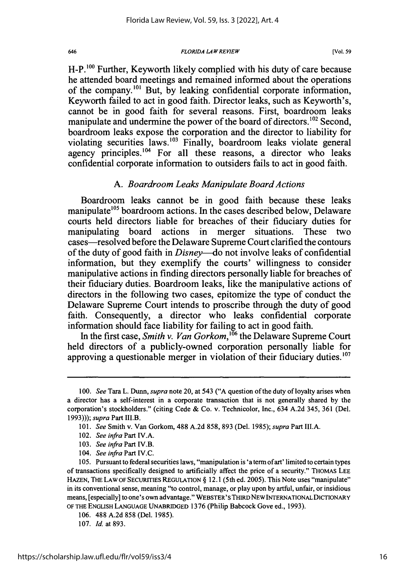*FLORIDA LAW REVIEW*

H-P.<sup>100</sup> Further, Keyworth likely complied with his duty of care because he attended board meetings and remained informed about the operations of the company.<sup>101</sup> But, by leaking confidential corporate information, Keyworth failed to act in good faith. Director leaks, such as Keyworth's, cannot be in good faith for several reasons. First, boardroom leaks manipulate and undermine the power of the board of directors.<sup>102</sup> Second, boardroom leaks expose the corporation and the director to liability for violating securities laws.<sup>103</sup> Finally, boardroom leaks violate general agency principles.<sup>104</sup> For all these reasons, a director who leaks confidential corporate information to outsiders fails to act in good faith.

### *A. Boardroom Leaks Manipulate Board Actions*

Boardroom leaks cannot be in good faith because these leaks manipulate<sup>105</sup> boardroom actions. In the cases described below, Delaware courts held directors liable for breaches of their fiduciary duties for manipulating board actions in merger situations. These two cases-resolved before the Delaware Supreme Court clarified the contours of the duty of good faith in *Disney--do* not involve leaks of confidential information, but they exemplify the courts' willingness to consider manipulative actions in finding directors personally liable for breaches of their fiduciary duties. Boardroom leaks, like the manipulative actions of directors in the following two cases, epitomize the type of conduct the Delaware Supreme Court intends to proscribe through the duty of good faith. Consequently, a director who leaks confidential corporate information should face liability for failing to act in good faith.

In the first case, *Smith v. Van Gorkom*,<sup>106</sup> the Delaware Supreme Court held directors of a publicly-owned corporation personally liable for approving a questionable merger in violation of their fiduciary duties.<sup>107</sup>

102. *See infra* Part IV.A.

646

- 103. *See infra* Part *IV.B.*
- 104. *See infra* Part *IV.C.*

- 106. 488 A.2d 858 (Del. 1985).
- 107. *Id.* at 893.

<sup>100.</sup> *See* Tara L. Dunn, *supra* note 20, at 543 **("A** question of the duty of loyalty arises when a director has a self-interest in a corporate transaction that is not generally shared by the corporation's stockholders." (citing Cede & Co. v. Technicolor, Inc., 634 A.2d 345, 361 (Del. 1993))); *supra* Part III.B.

<sup>101.</sup> *See* Smith v. Van Gorkom, 488 A.2d 858, 893 (Del. 1985); *supra* Part III.A.

<sup>105.</sup> Pursuant to federal securities laws, "manipulation is 'a term of art' limited to certain types of transactions specifically designed to artificially affect the price of a security." THOMAS LEE HAZEN, THE LAW OF SECURITIES REGULATION § 12.1 (5th ed. 2005). This Note uses "manipulate" in its conventional sense, meaning "to control, manage, or play upon by artful, unfair, or insidious means, [especially] to one's own advantage." WEBSTER' **S** THIRDNEW INTERNATIONALDICTIONARY OF THE ENGLISH **LANGUAGE UNABRIDGED** 1376 (Philip Babcock Gove ed., 1993).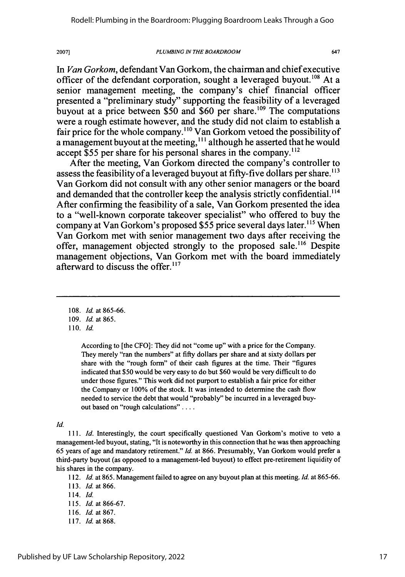*PLUMBING IN THE BOARDROOM*

647

*In Van Gorkom,* defendant Van Gorkom, the chairman and chief executive officer of the defendant corporation, sought a leveraged buyout.<sup>108</sup> At a senior management meeting, the company's chief financial officer presented a "preliminary study" supporting the feasibility of a leveraged buyout at a price between \$50 and \$60 per share.<sup>109</sup> The computations were a rough estimate however, and the study did not claim to establish a fair price for the whole company.<sup>110</sup> Van Gorkom vetoed the possibility of a management buyout at the meeting, **"'** although he asserted that he would accept \$55 per share for his personal shares in the company.<sup>112</sup>

After the meeting, Van Gorkom directed the company's controller to assess the feasibility of a leveraged buyout at fifty-five dollars per share.<sup>113</sup> Van Gorkom did not consult with any other senior managers or the board and demanded that the controller keep the analysis strictly confidential.<sup>114</sup> After confirming the feasibility of a sale, Van Gorkom presented the idea to a "well-known corporate takeover specialist" who offered to buy the company at Van Gorkom's proposed \$55 price several days later.<sup>115</sup> When Van Gorkom met with senior management two days after receiving the offer, management objected strongly to the proposed sale. 16 Despite management objections, Van Gorkom met with the board immediately afterward to discuss the offer.<sup>117</sup>

108. *Id.* at 865-66.

109. *Id.* at 865.

**110.** *Id.*

2007]

According to [the CFO]: They did not "come up" with a price for the Company. They merely "ran the numbers" at **fifty** dollars per share and at sixty dollars per share with the "rough form" of their cash figures at the time. Their "figures indicated that **\$50** would be very easy to do but \$60 would be very difficult to do under those figures." This work did not purport to establish a fair price for either the Company or **100%** of the stock. It was intended to determine the cash flow needed to service the debt that would "probably" be incurred in a leveraged buyout based on "rough calculations"....

#### *Id.*

111. *Id.* Interestingly, the court specifically questioned Van Gorkom's motive to veto a management-led buyout, stating, "It is noteworthy in this connection that he was then approaching 65 years of age and mandatory retirement." *Id.* at **866.** Presumably, Van Gorkom would prefer a third-party buyout (as opposed to a management-led buyout) to effect pre-retirement liquidity of his shares in the company.

112. *Id.* at 865. Management failed to agree on any buyout plan at this meeting. *Id.* at 865-66.

- 116. *Id.* at 867.
- **117.** *Id.* at 868.

<sup>113.</sup> *Id.* at 866.

<sup>114.</sup> *Id.*

**<sup>115.</sup>** *Id.* at 866-67.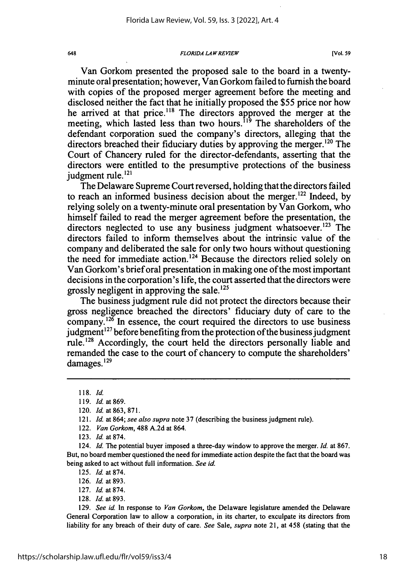*FLORIDA LAW REVIEW*

Van Gorkom presented the proposed sale to the board in a twentyminute oral presentation; however, Van Gorkom failed to furnish the board with copies of the proposed merger agreement before the meeting and disclosed neither the fact that he initially proposed the \$55 price nor how he arrived at that price.<sup>118</sup> The directors approved the merger at the meeting, which lasted less than two hours.<sup>119</sup> The shareholders of the defendant corporation sued the company's directors, alleging that the directors breached their fiduciary duties by approving the merger. <sup>220</sup> The Court of Chancery ruled for the director-defendants, asserting that the directors were entitled to the presumptive protections of the business iudgment rule. $^{121}$ 

The Delaware Supreme Court reversed, holding that the directors failed to reach an informed business decision about the merger.<sup>122</sup> Indeed, by relying solely on a twenty-minute oral presentation by Van Gorkom, who himself failed to read the merger agreement before the presentation, the directors neglected to use any business judgment whatsoever.<sup>123</sup> The directors failed to inform themselves about the intrinsic value of the company and deliberated the sale for only two hours without questioning the need for immediate action.<sup>124</sup> Because the directors relied solely on Van Gorkom's brief oral presentation in making one of the most important decisions in the corporation's life, the court asserted that the directors were grossly negligent in approving the sale.<sup>125</sup>

The business judgment rule did not protect the directors because their gross negligence breached the directors' fiduciary duty of care to the  $\overline{\text{companv}}$ .<sup>126</sup> In essence, the court required the directors to use business judgment<sup>127</sup> before benefiting from the protection of the business judgment rule.128 Accordingly, the court held the directors personally liable and remanded the case to the court of chancery to compute the shareholders' damages.<sup>129</sup>

126. *Id.* at 893.

128. Id. at 893.

129. *See id.* In response to *Van Gorkom,* the Delaware legislature amended the Delaware General Corporation law to allow a corporation, in its charter, to exculpate its directors from liability for any breach of their duty of care. *See* Sale, *supra* note 21, at 458 (stating that the

<sup>118.</sup> *Id.*

<sup>119.</sup> *Id.* at 869.

<sup>120.</sup> *Id.* at 863, 871.

<sup>121.</sup> *Id.* at 864; *see also supra* note 37 (describing the business judgment rule).

<sup>122.</sup> *Van Gorkom,* 488 A.2d at 864.

<sup>123.</sup> *Id.* at 874.

<sup>124.</sup> *Id.* The potential buyer imposed a three-day window to approve the merger. *Id.* at 867. But, no board member questioned the need for immediate action despite the fact that the board was being asked to act without full information. *See id.*

<sup>125.</sup> *Id.* at 874.

<sup>127.</sup> *Id.* at 874.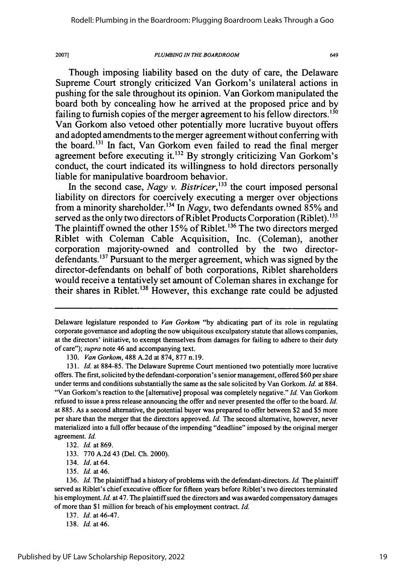#### *PLUMBING IN THE BOARDROOM*

649

Though imposing liability based on the duty of care, the Delaware Supreme Court strongly criticized Van Gorkom's unilateral actions in pushing for the sale throughout its opinion. Van Gorkom manipulated the board both by concealing how he arrived at the proposed price and by failing to furnish copies of the merger agreement to his fellow directors.  $130$ Van Gorkom also vetoed other potentially more lucrative buyout offers and adopted amendments to the merger agreement without conferring with the board.<sup>131</sup> In fact, Van Gorkom even failed to read the final merger agreement before executing it. 132 By strongly criticizing Van Gorkom's conduct, the court indicated its willingness to hold directors personally liable for manipulative boardroom behavior.

In the second case, *Nagy v. Bistricer*,<sup>133</sup> the court imposed personal liability on directors for coercively executing a merger over objections from a minority shareholder.<sup>134</sup> In *Nagy*, two defendants owned 85% and served as the only two directors of Riblet Products Corporation (Riblet). **31** The plaintiff owned the other 15% of Riblet.<sup>136</sup> The two directors merged Riblet with Coleman Cable Acquisition, Inc. (Coleman), another corporation majority-owned and controlled by the two directordefendants. **1 <sup>37</sup>**Pursuant to the merger agreement, which was signed by the director-defendants on behalf of both corporations, Riblet shareholders would receive a tentatively set amount of Coleman shares in exchange for their shares in Riblet.<sup>138</sup> However, this exchange rate could be adjusted

130. *Van Gorkom,* 488 A.2d at 874, 877 n.19.

*131. Id.* at 884-85. The Delaware Supreme Court mentioned two potentially more lucrative offers. The first, solicited by the defendant-corporation's senior management, offered \$60 per share under terms and conditions substantially the same as the sale solicited by Van Gorkom. *Id.* at 884. "Van Gorkom's reaction to the [alternative] proposal was completely negative." *Id.* Van Gorkom refused to issue a press release announcing the offer and never presented the offer to the board. *Id.* at 885. As a second alternative, the potential buyer was prepared to offer between \$2 and \$5 more per share than the merger that the directors approved. *Id.* The second alternative, however, never materialized into a full offer because of the impending "deadline" imposed by the original merger agreement. Id.

135. *Id.* at46.

136. *Id.* The plaintiff had a history of problems with the defendant-directors. *Id.* The plaintiff served as Riblet's chief executive officer for fifteen years before Riblet's two directors terminated his employment. *Id.* at 47. The plaintiff sued the directors and was awarded compensatory damages of more than \$1 million for breach of his employment contract. *Id.*

137. *Id.* at 46-47.

Delaware legislature responded to Van Gorkom "by abdicating part of its role in regulating corporate governance and adopting the now ubiquitous exculpatory statute that allows companies, at the directors' initiative, to exempt themselves from damages for failing to adhere to their duty of care"); *supra* note 46 and accompanying text.

<sup>132.</sup> *Id.* at 869.

<sup>133. 770</sup> A.2d 43 (Del. Ch. 2000).

<sup>134.</sup> *Id.* at 64.

<sup>138.</sup> *Id.* at46.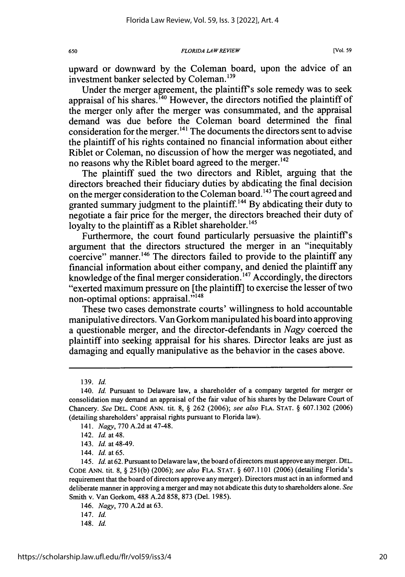upward or downward by the Coleman board, upon the advice of an investment banker selected by Coleman. **<sup>1</sup> 39**

Under the merger agreement, the plaintiff's sole remedy was to seek appraisal of his shares.  $^{140}$  However, the directors notified the plaintiff of the merger only after the merger was consummated, and the appraisal demand was due before the Coleman board determined the final consideration for the merger.<sup>141</sup> The documents the directors sent to advise the plaintiff of his rights contained no financial information about either Riblet or Coleman, no discussion of how the merger was negotiated, and no reasons why the Riblet board agreed to the merger.<sup>142</sup>

The plaintiff sued the two directors and Riblet, arguing that the directors breached their fiduciary duties by abdicating the final decision on the merger consideration to the Coleman board. **1 4 3** The court agreed and granted summary judgment to the plaintiff.<sup>144</sup> By abdicating their duty to negotiate a fair price for the merger, the directors breached their duty of loyalty to the plaintiff as a Riblet shareholder.<sup>145</sup>

Furthermore, the court found particularly persuasive the plaintiff's argument that the directors structured the merger in an "inequitably coercive" manner.<sup>146</sup> The directors failed to provide to the plaintiff any financial information about either company, and denied the plaintiff any knowledge of the final merger consideration.<sup>147</sup> Accordingly, the directors "exerted maximum pressure on [the plaintiff] to exercise the lesser of two non-optimal options: appraisal."<sup>148</sup>

These two cases demonstrate courts' willingness to hold accountable manipulative directors. Van Gorkom manipulated his board into approving a questionable merger, and the director-defendants in *Nagy* coerced the plaintiff into seeking appraisal for his shares. Director leaks are just as damaging and equally manipulative as the behavior in the cases above.

146. *Nagy,* 770 A.2d at 63.

<sup>139.</sup> *Id.*

<sup>140.</sup> Id. Pursuant to Delaware law, a shareholder of a company targeted for merger or consolidation may demand an appraisal of the fair value of his shares by the Delaware Court of Chancery. *See* DEL. CODE ANN. tit. 8, § 262 (2006); *see also* FLA. STAT. § 607.1302 (2006) (detailing shareholders' appraisal rights pursuant to Florida law).

<sup>141.</sup> *Nagy,* 770 A.2d at 47-48.

<sup>142.</sup> *Id.* at 48.

<sup>143.</sup> Id. at 48-49.

<sup>144.</sup> Id. at 65.

<sup>145.</sup> Id. at 62. Pursuant to Delaware law, the board of directors must approve any merger. **DEL.** CODE ANN. tit. 8, § 25 1(b) (2006); *see also* FLA. STAT. § 607.1101 (2006) (detailing Florida's requirement that the board of directors approve any merger). Directors must act in an informed and deliberate manner in approving a merger and may not abdicate this duty to shareholders alone. *See* Smith v. Van Gorkom, 488 A.2d 858, 873 (Del. 1985).

<sup>147.</sup> Id.

<sup>148.</sup> Id.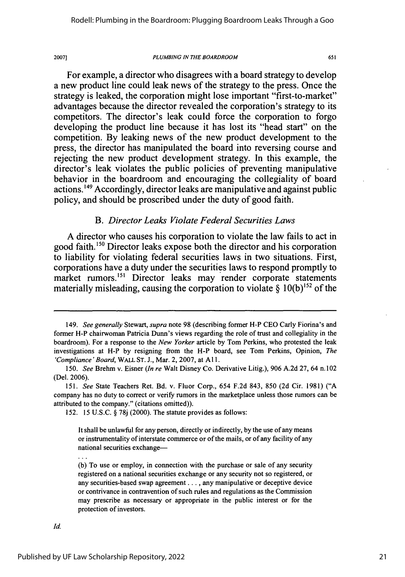#### *PLUMBING IN THE BOARDROOM*

651

For example, a director who disagrees with a board strategy to develop a new product line could leak news of the strategy to the press. Once the strategy is leaked, the corporation might lose important "first-to-market" advantages because the director revealed the corporation's strategy to its competitors. The director's leak could force the corporation to forgo developing the product line because it has lost its "head start" on the competition. By leaking news of the new product development to the press, the director has manipulated the board into reversing course and rejecting the new product development strategy. In this example, the director's leak violates the public policies of preventing manipulative behavior in the boardroom and encouraging the collegiality of board actions.<sup>149</sup> Accordingly, director leaks are manipulative and against public policy, and should be proscribed under the duty of good faith.

### *B. Director Leaks Violate Federal Securities Laws*

A director who causes his corporation to violate the law fails to act in good faith.<sup>150</sup> Director leaks expose both the director and his corporation to liability for violating federal securities laws in two situations. First, corporations have a duty under the securities laws to respond promptly to market rumors.<sup>151</sup> Director leaks may render corporate statements materially misleading, causing the corporation to violate  $\S$  10(b)<sup>152</sup> of the

152. 15 U.S.C. § 78j (2000). The statute provides as follows:

<sup>149.</sup> *See generally* Stewart, *supra* note 98 (describing former H-P CEO Carly Fiorina's and former H-P chairwoman Patricia Dunn's views regarding the role of trust and collegiality in the boardroom). For a response to the *New Yorker* article by Tom Perkins, who protested the leak investigations at H-P by resigning from the H-P board, see Tom Perkins, Opinion, *The 'Compliance'Board,* WALL **ST.** J., Mar. 2, 2007, at **A11.**

<sup>150.</sup> *See* Brehm v. Eisner *(In re* Walt Disney Co. Derivative Litig.), 906 A.2d 27, 64 n.102 (Del. 2006).

*<sup>151.</sup> See* State Teachers Ret. Bd. v. Fluor Corp., 654 F.2d 843, 850 (2d Cir. 1981) ("A company has no duty to correct or verify rumors in the marketplace unless those rumors can be attributed to the company." (citations omitted)).

It shall be unlawful for any person, directly or indirectly, by the use of any means or instrumentality of interstate commerce or of the mails, or of any facility of any national securities exchange-

<sup>(</sup>b) To use or employ, in connection with the purchase or sale of any security registered on a national securities exchange or any security not so registered, or any securities-based swap agreement... , any manipulative or deceptive device or contrivance in contravention of such rules and regulations as the Commission may prescribe as necessary or appropriate in the public interest or for the protection of investors.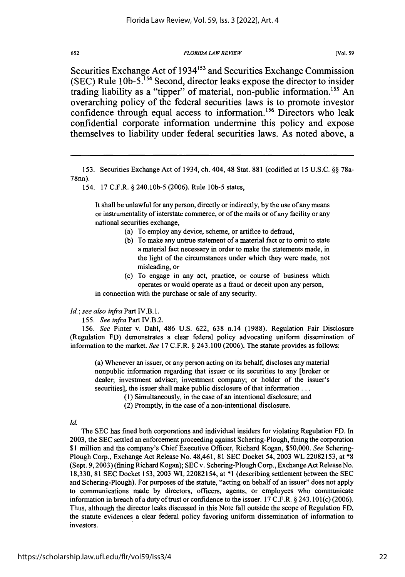#### *FLORIDA LAW REVIEW*

**(Vol. 59**

Securities Exchange Act of 1934'53 and Securities Exchange Commission **(SEC)** Rule **1Ob-5.154** Second, director leaks expose the director to insider trading liability as a "tipper" of material, non-public information.<sup>155</sup> An overarching policy of the federal securities laws is to promote investor confidence through equal access to information.<sup>156</sup> Directors who leak confidential corporate information undermine this policy and expose themselves to liability under federal securities laws. As noted above, a

154. 17 C.F.R. § 240.10b-5 (2006). Rule **lOb-5** states,

It shall be unlawful for any person, directly or indirectly, by the use of any means or instrumentality of interstate commerce, or of the mails or of any facility or any national securities exchange,

- (a) To employ any device, scheme, or artifice to defraud,
- (b) To make any untrue statement of a material fact or to omit to state a material fact necessary in order to make the statements made, in the light of the circumstances under which they were made, not misleading, or
- (c) To engage in any act, practice, or course of business which operates or would operate as a fraud or deceit upon any person, in connection with the purchase or sale of any security.

#### *Id.; see also infra* Part IV.B.1.

155. *See infra* Part IV.B.2.

156. *See* Pinter v. Dahl, 486 U.S. 622, 638 n.14 (1988). Regulation Fair Disclosure (Regulation FD) demonstrates a clear federal policy advocating uniform dissemination of information to the market. *See* 17 C.F.R. § 243.100 (2006). The statute provides as follows:

(a) Whenever an issuer, or any person acting on its behalf, discloses any material nonpublic information regarding that issuer or its securities to any [broker or dealer; investment adviser; investment company; or holder of the issuer's securities], the issuer shall make public disclosure of that information...

- (1) Simultaneously, in the case of an intentional disclosure; and
- (2) Promptly, in the case of a non-intentional disclosure.

The SEC has fined both corporations and individual insiders for violating Regulation FD. In 2003, the SEC settled an enforcement proceeding against Schering-Plough, fining the corporation \$1 million and the company's Chief Executive Officer, Richard Kogan, \$50,000. *See* Schering-Plough Corp., Exchange Act Release No. 48,461, 81 SEC Docket 54, 2003 WL 22082153, at \*8 (Sept. 9,2003) (fining Richard Kogan); SECv. Schering-Plough Corp., Exchange Act Release No. 18,330, 81 SEC Docket 153, 2003 WL 22082154, at \*1 (describing settlement between the SEC and Schering-Plough). For purposes of the statute, "acting on behalf of an issuer" does not apply to communications made by directors, officers, agents, or employees who communicate information in breach of a duty of trust or confidence to the issuer. 17 C.F.R. § 243.101(c) (2006). Thus, although the director leaks discussed in this Note fall outside the scope of Regulation FD, the statute evidences a clear federal policy favoring uniform dissemination of information to investors.

<sup>153.</sup> Securities Exchange Act of 1934, ch. 404, 48 Stat. 881 (codified at 15 U.S.C. §§ 78a-78nn).

*Id.*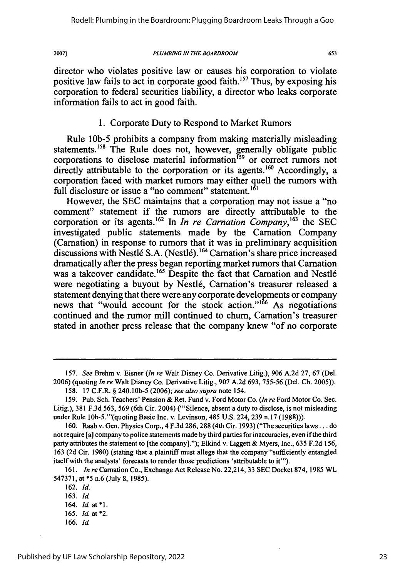#### **PLUMBING IN THE BOARDROOM**

director who violates positive law or causes his corporation to violate positive law fails to act in corporate good faith.<sup>157</sup> Thus, by exposing his corporation to federal securities liability, a director who leaks corporate information fails to act in good faith.

## 1. Corporate Duty to Respond to Market Rumors

Rule **lOb-5** prohibits a company from making materially misleading statements.<sup>158</sup> The Rule does not, however, generally obligate public corporations to disclose material information<sup>159</sup> or correct rumors not directly attributable to the corporation or its agents.<sup>160</sup> Accordingly, a corporation faced with market rumors may either quell the rumors with full disclosure or issue a "no comment" statement.<sup>161</sup>

However, the SEC maintains that a corporation may not issue a "no comment" statement if the rumors are directly attributable to the corporation or its agents.<sup>162</sup> In *In re Carnation Company*,<sup>163</sup> the SEC investigated public statements made by the Carnation Company (Carnation) in response to rumors that it was in preliminary acquisition discussions with Nestlé S.A. (Nestlé).<sup>164</sup> Carnation's share price increased dramatically after the press began reporting market rumors that Carnation was a takeover candidate.<sup>165</sup> Despite the fact that Carnation and Nestlé were negotiating a buyout by Nestle, Carnation's treasurer released a statement denying that there were any corporate developments or company news that "would account for the stock action."<sup>166</sup> As negotiations continued and the rumor mill continued to chum, Carnation's treasurer stated in another press release that the company knew "of no corporate

<sup>157.</sup> *See* Brehm v. Eisner *(In re* Walt Disney Co. Derivative Litig.), 906 A.2d 27, 67 (Del. 2006) (quoting *In re* Walt Disney Co. Derivative Litig., 907 A.2d 693, 755-56 (Del. Ch. 2005)).

<sup>158. 17</sup> C.F.R. § 240.10b-5 (2006); *see also supra* note 154.

<sup>159.</sup> Pub. Sch. Teachers' Pension & Ret. Fund v. Ford Motor Co. *(In re* Ford Motor Co. Sec. Litig.), 381 F.3d 563, 569 (6th Cir. 2004) ("'Silence, absent a duty to disclose, is not misleading under Rule 1Ob-5."'(quoting Basic Inc. v. Levinson, 485 U.S. 224, 239 n.17 (1988))).

<sup>160.</sup> Raab v. Gen. Physics Corp., 4 F.3d 286,288 (4th Cir. 1993) ("The securities laws... do not require [a] company to police statements made by third parties for inaccuracies, even if the third party attributes the statement to [the company]."); Elkind v. Liggett & Myers, Inc., 635 F.2d 156, 163 (2d Cir. 1980) (stating that a plaintiff must allege that the company "sufficiently entangled itself with the analysts' forecasts to render those predictions 'attributable to it'").

<sup>161.</sup> *In re* Carnation Co., Exchange Act Release No. 22,214, 33 SEC Docket 874, 1985 WL 547371, at \*5 n.6 (July 8, 1985).

<sup>162.</sup> *Id.*

<sup>163.</sup> *Id.*

<sup>164.</sup> *Id.* at \*1.

<sup>165.</sup> *Id.* at \*2. 166. *Id.*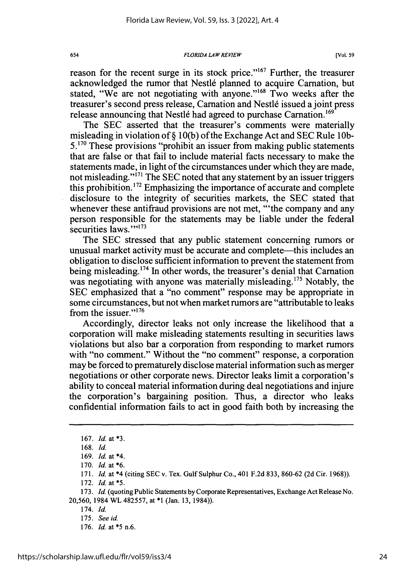*FLORIDA LA W REVIEW*

reason for the recent surge in its stock price."<sup>167</sup> Further, the treasurer acknowledged the rumor that Nestlé planned to acquire Carnation, but stated, "We are not negotiating with anyone."<sup>168</sup> Two weeks after the treasurer's second press release, Carnation and Nestlé issued a joint press release announcing that Nestlé had agreed to purchase Carnation.<sup>169</sup>

The SEC asserted that the treasurer's comments were materially misleading in violation of § 10(b) of the Exchange Act and SEC Rule 10b- $5.^{170}$  These provisions "prohibit an issuer from making public statements that are false or that fail to include material facts necessary to make the statements made, in light of the circumstances under which they are made, not misleading."<sup>171</sup> The SEC noted that any statement by an issuer triggers this prohibition.<sup>172</sup> Emphasizing the importance of accurate and complete disclosure to the integrity of securities markets, the SEC stated that whenever these antifraud provisions are not met, "the company and any person responsible for the statements may be liable under the federal securities laws.""173

The SEC stressed that any public statement concerning rumors or unusual market activity must be accurate and complete—this includes an obligation to disclose sufficient information to prevent the statement from being misleading.<sup>174</sup> In other words, the treasurer's denial that Carnation was negotiating with anyone was materially misleading.<sup>175</sup> Notably, the SEC emphasized that a "no comment" response may be appropriate in some circumstances, but not when market rumors are "attributable to leaks from the issuer. $176$ 

Accordingly, director leaks not only increase the likelihood that a corporation will make misleading statements resulting in securities laws violations but also bar a corporation from responding to market rumors with "no comment." Without the "no comment" response, a corporation may be forced to prematurely disclose material information such as merger negotiations or other corporate news. Director leaks limit a corporation's ability to conceal material information during deal negotiations and injure the corporation's bargaining position. Thus, a director who leaks confidential information fails to act in good faith both by increasing the

654

172. *Id. at* **\*5.**

173. *Id.* (quoting Public Statements by Corporate Representatives, Exchange Act Release No. 20,560, 1984 WL 482557, at \*1 (Jan. 13, 1984)).

**176.** *Id.* at **\*5** n.6.

<sup>167.</sup> *Id.* at **\*3.**

<sup>168.</sup> Id.

<sup>169.</sup> *Id.* at \*4.

<sup>170.</sup> *Id.* at \*6.

<sup>171.</sup> *Id.* at \*4 (citing SEC v. Tex. Gulf Sulphur Co., 401 F.2d 833, 860-62 (2d Cir. 1968)).

<sup>174.</sup> Id.

<sup>175.</sup> *See id*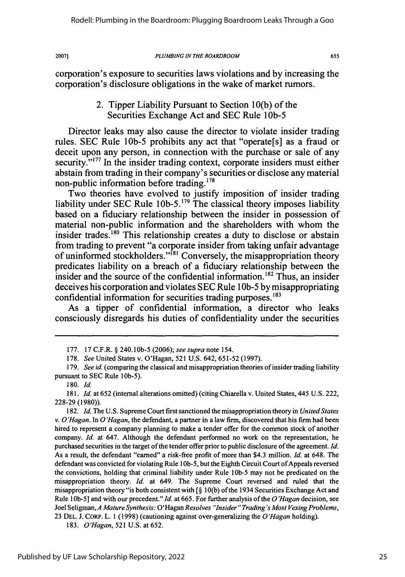#### *PLUMBING IN THE BOARDROOM*

655

corporation's exposure to securities laws violations and **by** increasing the corporation's disclosure obligations in the wake of market rumors.

## 2. Tipper Liability Pursuant to Section **10(b)** of the Securities Exchange Act and **SEC** Rule **1Ob-5**

Director leaks may also cause the director to violate insider trading rules. **SEC Rule 10b-5 prohibits any act that "operate<sup>[s]</sup> as a fraud or** deceit upon any person, in connection with the purchase or sale of any security."<sup>177</sup> In the insider trading context, corporate insiders must either abstain from trading in their company's securities or disclose any material non-public information before trading.<sup>178</sup>

Two theories have evolved to justify imposition of insider trading liability under SEC Rule 10b-5.<sup>179</sup> The classical theory imposes liability based on a fiduciary relationship between the insider in possession of material non-public information and the shareholders with whom the insider trades.<sup>180</sup> This relationship creates a duty to disclose or abstain from trading to prevent "a corporate insider from taking unfair advantage of uninformed stockholders."<sup>[81</sup> Conversely, the misappropriation theory predicates liability on a breach of a fiduciary relationship between the insider and the source of the confidential information.<sup>182</sup> Thus, an insider deceives his corporation and violates **SEC** Rule **1 Ob-5 by** misappropriating confidential information for securities trading purposes.<sup>183</sup>

As a tipper of confidential information, a director who leaks consciously disregards his duties of confidentiality under the securities

**182.** *Id.* The **U.S.** Supreme Court first sanctioned the misappropriation theory in *United States v. O'Hagan.* In *O 'Hagan,* the defendant, a partner in a law firm, discovered that his firm had been hired to represent a company planning to make a tender offer for the common stock of another company. *Id.* at 647. Although the defendant performed no work on the representation, he purchased securities in the target of the tender offer prior to public disclosure of the agreement. *Id.* As a result, the defendant "earned" a risk-free profit of more than \$4.3 million. *Id.* at 648. The defendant was convicted for violating Rule **I Ob-5,** but the Eighth Circuit Court of Appeals reversed the convictions, holding that criminal liability under Rule **lOb-5** may not be predicated on the misappropriation theory. *Id.* at 649. The Supreme Court reversed and ruled that the misappropriation theory "is both consistent with **[§ 10(b)** of the 1934 Securities Exchange Act and Rule **lOb-5]** and with our precedent." *Id* at **665.** For further analysis of the *O 'Hagan* decision, see Joel Seligman, *A Mature Synthesis:* O'Hagan *Resolves "Insider" Trading's Most Vexing Problems,* **23 DEL. J.** CoRp. L. **1 (1998)** (cautioning against over-generalizing the *O 'Hagan* holding).

**183.** *O'Hagan,* **521 U.S.** at **652.**

**<sup>177. 17</sup>** C.F.R. **§** 240.10b-5 **(2006);** *see supra* note 154.

**<sup>178.</sup>** *See* United States v. O'Hagan, **521 U.S.** 642, **651-52 (1997).**

**<sup>179.</sup>** *See id.* (comparing the classical and misappropriation theories of insider trading liability pursuant to **SEC** Rule **1Ob-5).**

**<sup>180.</sup>** *Id.*

**<sup>181.</sup>** *Id.* at **652** (internal alterations omitted) (citing Chiarella v. United States, 445 **U.S.** 222, **228-29 (1980)).**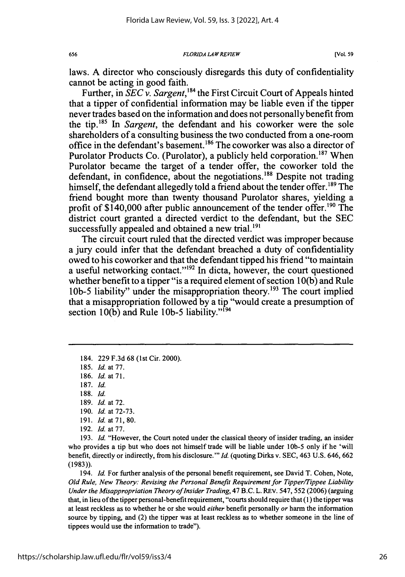*FLORIDA LAW REVIEW*

laws. A director who consciously disregards this duty of confidentiality cannot be acting in good faith.

Further, in SEC *v. Sargent,'84* the First Circuit Court of Appeals hinted that a tipper of confidential information may be liable even if the tipper never trades based on the information and does not personally benefit from the tip. 85 In *Sargent,* the defendant and his coworker were the sole shareholders of a consulting business the two conducted from a one-room office in the defendant's basement.<sup>186</sup> The coworker was also a director of Purolator Products Co. (Purolator), a publicly held corporation.<sup>187</sup> When Purolator became the target of a tender offer, the coworker told the defendant, in confidence, about the negotiations.<sup>188</sup> Despite not trading himself, the defendant allegedly told a friend about the tender offer.<sup>189</sup> The friend bought more than twenty thousand Purolator shares, yielding a profit of  $$140,000$  after public announcement of the tender offer.<sup>190</sup> The district court granted a directed verdict to the defendant, but the SEC successfully appealed and obtained a new trial. $^{191}$ 

The circuit court ruled that the directed verdict was improper because a jury could infer that the defendant breached a duty of confidentiality owed to his coworker and that the defendant tipped his friend "to maintain a useful networking contact."<sup>192</sup> In dicta, however, the court questioned whether benefit to a tipper "is a required element of section 10(b) and Rule 10b-5 liability" under the misappropriation theory.<sup>193</sup> The court implied that a misappropriation followed by a tip "would create a presumption of section 10(b) and Rule 10b-5 liability."<sup>194</sup>

184. 229 F.3d 68 (1st Cir. 2000).

185. *Id.* at 77.

186. *Id.* at **71.**

187. *Id.*

189. *Id.* at 72.

193. *Id.* "However, the Court noted under the classical theory of insider trading, an insider who provides a tip but who does not himself trade will be liable under **lob-5** only if he 'will benefit, directly or indirectly, from his disclosure."' *Id.* (quoting Dirks v. SEC, 463 U.S. 646, 662 (1983)).

194. *Id.* For further analysis of the personal benefit requirement, see David T. Cohen, Note, *Old Rule, New Theory: Revising the Personal Benefit Requirement for Tipper/Tippee Liability Under the Misappropriation Theory of Insider Trading,* 47 B.C. L. REv. 547, **552** (2006) (arguing that, in lieu of the tipper personal-benefit requirement, "courts should require that (1) the tipper was at least reckless as to whether he or she would *either* benefit personally *or* harm the information source by tipping, and (2) the tipper was at least reckless as to whether someone in the line of tippees would use the information to trade").

<sup>188.</sup> Id.

<sup>190.</sup> *Id.* at 72-73.

<sup>191.</sup> Id. at **71,** 80.

<sup>192.</sup> *Id.* at 77.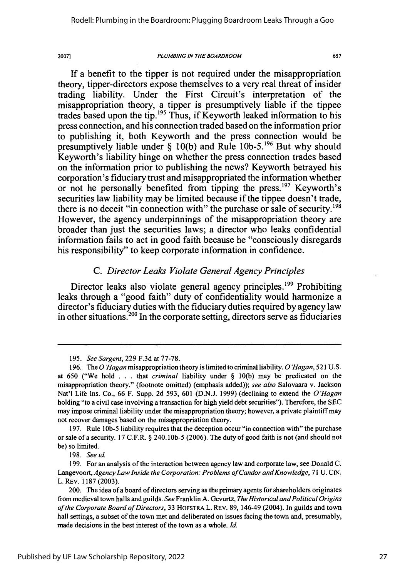#### *PLUMBING IN THE BOARDROOM*

657

**If** a benefit to the tipper is not required under the misappropriation theory, tipper-directors expose themselves to a very real threat of insider trading liability. Under the First Circuit's interpretation of the misappropriation theory, a tipper is presumptively liable if the tippee trades based upon the **tip.'<sup>95</sup>**Thus, if Keyworth leaked information to his press connection, and his connection traded based on the information prior to publishing it, both Keyworth and the press connection would be presumptively liable under **§ 10(b)** and Rule **lOb-5.196** But why should Keyworth's liability hinge on whether the press connection trades based on the information prior to publishing the news? Keyworth betrayed his corporation's fiduciary trust and misappropriated the information whether or not he personally benefited from tipping the press.<sup>197</sup> Keyworth's securities law liability may be limited because if the tippee doesn't trade, there is no deceit "in connection with" the purchase or sale of security.<sup>198</sup> However, the agency underpinnings of the misappropriation theory are broader than just the securities laws; a director who leaks confidential information fails to act in good faith because he "consciously disregards his responsibility" to keep corporate information in confidence.

# *C. Director Leaks Violate General Agency Principles*

Director leaks also violate general agency principles.<sup>199</sup> Prohibiting leaks through a "good faith" duty of confidentiality would harmonize a director's fiduciary duties with the fiduciary duties required **by** agency law in other situations.<sup>200</sup> In the corporate setting, directors serve as fiduciaries

197. Rule **lob-5** liability requires that the deception occur "in connection with" the purchase or sale of a security. 17 C.F.R. § 240.10b-5 (2006). The duty of good faith is not (and should not be) so limited.

198. *See id.*

<sup>195.</sup> *See Sargent,* 229 F.3d at 77-78.

<sup>196.</sup> The *O'Hagan* misappropriation theory is limited to criminal liability. *O'Hagan,* 521 U.S. at 650 ("We hold . **.** . that *criminal* liability under § 10(b) may be predicated on the misappropriation theory." (footnote omitted) (emphasis added)); *see also* Salovaara v. Jackson Nat'l Life Ins. Co., 66 F. Supp. 2d 593, 601 (D.N.J. 1999) (declining to extend the *O'Hagan* holding "to a civil case involving a transaction for high yield debt securities"). Therefore, the SEC may impose criminal liability under the misappropriation theory; however, a private plaintiff may not recover damages based on the misappropriation theory.

<sup>199.</sup> For an analysis of the interaction between agency law and corporate law, see Donald C. Langevoort, *Agency Law Inside the Corporation: Problems of Candor and Knowledge*, 71 U. CIN. L. REv. 1187 (2003).

<sup>200.</sup> The idea of a board of directors serving as the primary agents for shareholders originates from medieval town halls and guilds. *See* Franklin A. Gevurtz, *The Historical andPolitical Origins of the Corporate Board of Directors,* 33 HOFSTRA L. REv. 89, 146-49 (2004). In guilds and town hall settings, a subset of the town met and deliberated on issues facing the town and, presumably, made decisions in the best interest of the town as a whole. *Id.*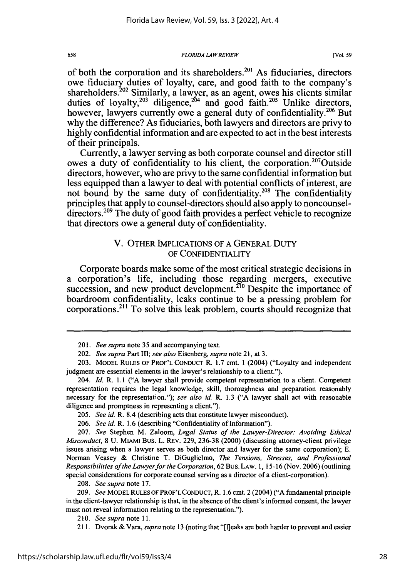*FLORIDA LAW REVIEW*

of both the corporation and its shareholders.<sup>201</sup> As fiduciaries, directors owe fiduciary duties of loyalty, care, and good faith to the company's shareholders.<sup>202</sup> Similarly, a lawyer, as an agent, owes his clients similar duties of loyalty,<sup>203</sup> diligence,<sup>204</sup> and good faith.<sup>205</sup> Unlike directors, however, lawyers currently owe a general duty of confidentiality.<sup>206</sup> But why the difference? As fiduciaries, both lawyers and directors are privy to **highly** confidential information and are expected to act in the best interests of their principals.

Currently, a lawyer serving as both corporate counsel and director still owes a duty of confidentiality to his client, the corporation.<sup>207</sup>Outside directors, however, who are privy to the same confidential information but less equipped than a lawyer to deal with potential conflicts of interest, are not bound by the same duty of confidentiality.<sup>208</sup> The confidentiality principles that apply to counsel-directors should also apply to noncounseldirectors.<sup>209</sup> The duty of good faith provides a perfect vehicle to recognize that directors owe a general duty of confidentiality.

### V. OTHER IMPLICATIONS OF A GENERAL DUTY OF CONFIDENTIALITY

Corporate boards make some of the most critical strategic decisions in a corporation's life, including those regarding mergers, executive succession, and new product development.<sup>210</sup> Despite the importance of boardroom confidentiality, leaks continue to be a pressing problem for corporations.<sup>211</sup> To solve this leak problem, courts should recognize that

658

<sup>201.</sup> *See supra* note 35 and accompanying text.

<sup>202.</sup> *See supra* Part III; *see also* Eisenberg, *supra* note 21, at 3.

<sup>203.</sup> MODEL RULES OF PROF'L CONDUCT R. 1.7 cmt. 1 (2004) ("Loyalty and independent judgment are essential elements in the lawyer's relationship to a client.").

<sup>204.</sup> *Id.* R. 1.1 ("A lawyer shall provide competent representation to a client. Competent representation requires the legal knowledge, skill, thoroughness and preparation reasonably necessary for the representation."); *see also id.* R. 1.3 ("A lawyer shall act with reasonable diligence and promptness in representing a client.").

<sup>205.</sup> *See id.* R. 8.4 (describing acts that constitute lawyer misconduct).

<sup>206.</sup> *See id.* R. 1.6 (describing "Confidentiality of Information").

<sup>207.</sup> *See* Stephen M. Zaloom, *Legal Status of the Lawyer-Director: Avoiding Ethical Misconduct,* 8 U. MIAMI Bus. L. REV. 229, 236-38 (2000) (discussing attorney-client privilege issues arising when a lawyer serves as both director and lawyer for the same corporation); E. Norman Veasey & Christine T. DiGuglielmo, *The Tensions, Stresses, and Professional Responsibilities of the Lawyerfor the Corporation,* 62 Bus. LAW. 1, 15-16 (Nov. 2006) (outlining special considerations for corporate counsel serving as a director of a client-corporation).

<sup>208.</sup> *See supra* note 17.

<sup>209.</sup> *See* MODEL RULES OF PROF'LCONDUCT, R. 1.6 cmt. 2 (2004) ("A fundamental principle in the client-lawyer relationship is that, in the absence of the client's informed consent, the lawyer must not reveal information relating to the representation.").

*<sup>2</sup> 10. See supra* note 11.

<sup>211.</sup> Dvorak & Vara, *supra* note 13 (noting that "[I]eaks are both harder to prevent and easier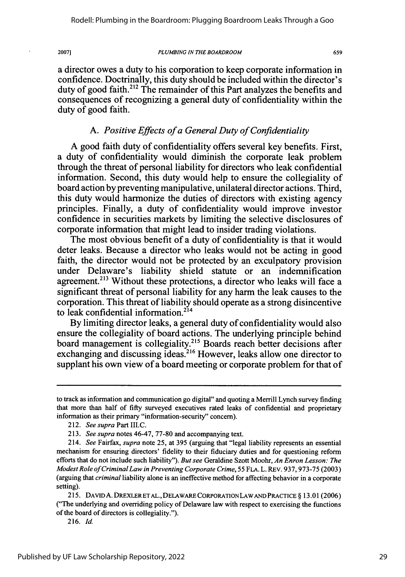#### *PLUMBING IN THE BOARDROOM*

659

a director owes a duty to his corporation to keep corporate information in confidence. Doctrinally, this duty should be included within the director's duty of good faith.<sup>212</sup> The remainder of this Part analyzes the benefits and consequences of recognizing a general duty of confidentiality within the duty of good faith.

# *A. Positive Effects of a General Duty of Confidentiality*

A good faith duty of confidentiality offers several key benefits. First, a duty of confidentiality would diminish the corporate leak problem through the threat of personal liability for directors who leak confidential information. Second, this duty would help to ensure the collegiality of board action **by** preventing manipulative, unilateral director actions. Third, this duty would harmonize the duties of directors with existing agency principles. Finally, a duty of confidentiality would improve investor confidence in securities markets **by** limiting the selective disclosures of corporate information that might lead to insider trading violations.

The most obvious benefit of a duty of confidentiality is that it would deter leaks. Because a director who leaks would not be acting in good faith, the director would not be protected **by** an exculpatory provision under Delaware's liability shield statute or an indemnification agreement.<sup>213</sup> Without these protections, a director who leaks will face a significant threat of personal liability for any harm the leak causes to the corporation. This threat of liability should operate as a strong disincentive to leak confidential information.<sup>214</sup>

**By** limiting director leaks, a general duty of confidentiality would also ensure the collegiality of board actions. The underlying principle behind board management is collegiality.215 Boards reach better decisions after exchanging and discussing ideas.<sup>216</sup> However, leaks allow one director to supplant his own view of a board meeting or corporate problem for that of

to track as information and communication go digital" and quoting a Merrill Lynch survey finding that more than half of fifty surveyed executives rated leaks of confidential and proprietary information as their primary "information-security" concern).

<sup>212.</sup> *See supra* Part III.C.

<sup>213.</sup> *See supra* notes 46-47, **77-80** and accompanying text.

<sup>214.</sup> *See* Fairfax, *supra* note 25, at 395 (arguing that "legal liability represents an essential mechanism for ensuring directors' fidelity to their fiduciary duties and for questioning reform efforts that do not include such liability"). *But see* Geraldine Szott Moohr, *An Enron Lesson: The Modest Role of Criminal Law in Preventing Corporate Crime,* 55 FLA. L. REv. **937, 973-75** (2003) (arguing that *criminal* liability alone is an ineffective method for affecting behavior in a corporate setting).

<sup>215.</sup> DAvID A. DREXLERET **AL.,** DELAWARE CORPORATION LAWAND PRACTICE § 13.01 (2006) ("The underlying and overriding policy of Delaware law with respect to exercising the functions of the board of directors is collegiality.").

<sup>216.</sup> *Id.*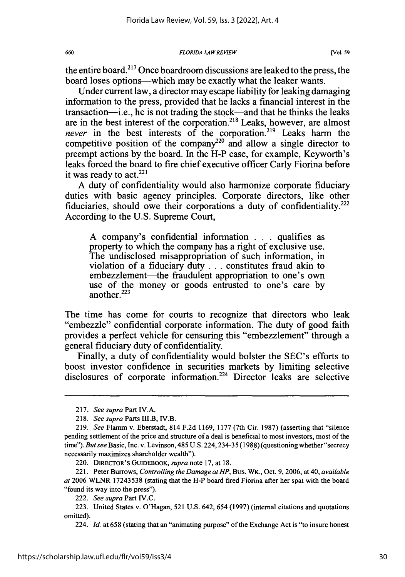*FLORIDA LAW REVIEW*

the entire board.217 Once boardroom discussions are leaked to the press, the board loses options-which may be exactly what the leaker wants.

Under current law, a director may escape liability for leaking damaging information to the press, provided that he lacks a financial interest in the transaction-i.e., he is not trading the stock-and that he thinks the leaks are in the best interest of the corporation. 218 Leaks, however, are almost *never* in the best interests of the corporation.<sup>219</sup> Leaks harm the competitive position of the company<sup>220</sup> and allow a single director to preempt actions by the board. In the H-P case, for example, Keyworth's leaks forced the board to fire chief executive officer Carly Fiorina before it was ready to act. $^{221}$ 

A duty of confidentiality would also harmonize corporate fiduciary duties with basic agency principles. Corporate directors, like other fiduciaries, should owe their corporations a duty of confidentiality.<sup>222</sup> According to the U.S. Supreme Court,

A company's confidential information . . . qualifies as property to which the company has a right of exclusive use. The undisclosed misappropriation of such information, in violation of a fiduciary duty **...** constitutes fraud akin to embezzlement—the fraudulent appropriation to one's own use of the money or goods entrusted to one's care by another $223$ 

The time has come for courts to recognize that directors who leak "embezzle" confidential corporate information. The duty of good faith provides a perfect vehicle for censuring this "embezzlement" through a general fiduciary duty of confidentiality.

Finally, a duty of confidentiality would bolster the SEC's efforts to boost investor confidence in securities markets by limiting selective disclosures of corporate information.<sup>224</sup> Director leaks are selective

660

<sup>217.</sup> *See supra* Part IV.A.

<sup>218.</sup> *See supra* Parts III.B, IV.B.

<sup>219.</sup> *See* Flamm v. Eberstadt, 814 F.2d 1169, 1177 (7th Cir. 1987) (asserting that "silence pending settlement of the price and structure of a deal is beneficial to most investors, most of the time"). *But see* Basic, Inc. v. Levinson, 485 U.S. 224, 234-35 (1988) (questioning whether "secrecy necessarily maximizes shareholder wealth").

<sup>220.</sup> DIRECTOR'S GuIDEBOOK, *supra* note 17, at 18.

<sup>221.</sup> Peter Burrows, *Controlling the Damage at HP,* Bus. WK., Oct. 9, 2006, at 40, *available at* 2006 WLNR 17243538 (stating that the H-P board fired Fiorina after her spat with the board "found its way into the press").

<sup>222.</sup> *See supra* Part IV.C.

<sup>223.</sup> United States v. O'Hagan, **521** U.S. 642, 654 (1997) (internal citations and quotations omitted).

<sup>224.</sup> Id. at 658 (stating that an "animating purpose" of the Exchange Act is "to insure honest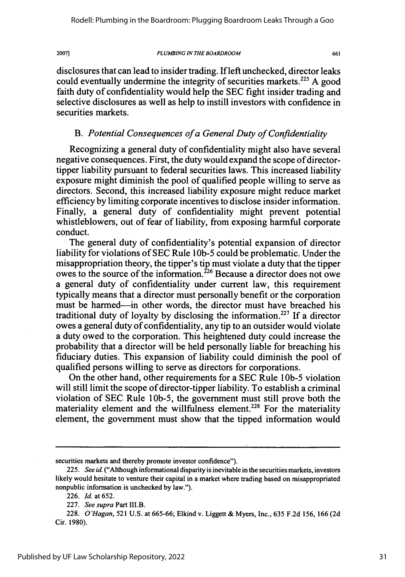#### *PLUMBING IN THE BOARDROOM*

661

disclosures that can lead to insider trading. If left unchecked, director leaks could eventually undermine the integrity of securities markets.<sup>225</sup> A good faith duty of confidentiality would help the SEC fight insider trading and selective disclosures as well as help to instill investors with confidence in securities markets.

### *B. Potential Consequences of a General Duty of Confidentiality*

Recognizing a general duty of confidentiality might also have several negative consequences. First, the duty would expand the scope of directortipper liability pursuant to federal securities laws. This increased liability exposure might diminish the pool of qualified people willing to serve as directors. Second, this increased liability exposure might reduce market efficiency by limiting corporate incentives to disclose insider information. Finally, a general duty of confidentiality might prevent potential whistleblowers, out of fear of liability, from exposing harmful corporate conduct.

The general duty of confidentiality's potential expansion of director liability for violations of SEC Rule 1Ob-5 could be problematic. Under the misappropriation theory, the tipper's tip must violate a duty that the tipper owes to the source of the information.<sup>226</sup> Because a director does not owe a general duty of confidentiality under current law, this requirement typically means that a director must personally benefit or the corporation must be harmed—in other words, the director must have breached his traditional duty of loyalty by disclosing the information.<sup>227</sup> If a director owes a general duty of confidentiality, any tip to an outsider would violate a duty owed to the corporation. This heightened duty could increase the probability that a director will be held personally liable for breaching his fiduciary duties. This expansion of liability could diminish the pool of qualified persons willing to serve as directors for corporations.

On the other hand, other requirements for a SEC Rule *lOb-5* violation will still limit the scope of director-tipper liability. To establish a criminal violation of SEC Rule 10b-5, the government must still prove both the materiality element and the willfulness element.<sup>228</sup> For the materiality element, the government must show that the tipped information would

securities markets and thereby promote investor confidence").

<sup>225.</sup> *See id.* ("Although informational disparity is inevitable in the securities markets, investors likely would hesitate to venture their capital in a market where trading based on misappropriated nonpublic information is unchecked by law.").

<sup>226.</sup> *Id.* at 652.

<sup>227.</sup> *See supra* Part III.B.

<sup>228.</sup> *O'Hagan,* 521 U.S. at 665-66; Elkind v. Liggett & Myers, Inc., 635 F.2d 156, 166 (2d Cir. 1980).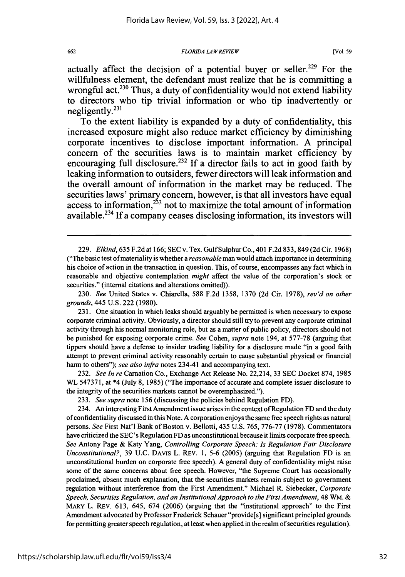#### *FLORIDA LAWREVIEW*

actually affect the decision of a potential buyer or seller.<sup>229</sup> For the willfulness element, the defendant must realize that he is committing a wrongful act.<sup>230</sup> Thus, a duty of confidentiality would not extend liability to directors who tip trivial information or who tip inadvertently or negligently. $^{231}$ 

To the extent liability is expanded **by** a duty of confidentiality, this increased exposure might also reduce market efficiency **by** diminishing corporate incentives to disclose important information. **A** principal concern of the securities laws is to maintain market efficiency **by** encouraging full disclosure.232 **If** a director fails to act in good faith **by** leaking information to outsiders, fewer directors will leak information and the overall amount of information in the market may be reduced. The securities laws' primary concern, however, is that all investors have equal  $233$  access to information,  $233$  not to maximize the total amount of information available.234 **If** a company ceases disclosing information, its investors will

230. *See* United States v. Chiarella, 588 F.2d 1358, 1370 (2d Cir. 1978), *rev'd on other grounds,* 445 U.S. 222 (1980).

231. One situation in which leaks should arguably be permitted is when necessary to expose corporate criminal activity. Obviously, a director should still try to prevent any corporate criminal activity through his normal monitoring role, but as a matter of public policy, directors should not be punished for exposing corporate crime. *See* Cohen, *supra* note 194, at 577-78 (arguing that tippers should have a defense to insider trading liability for a disclosure made "in a good faith attempt to prevent criminal activity reasonably certain to cause substantial physical or financial harm to others"); *see also infra* notes 234-41 and accompanying text.

232. *See In re* Carnation Co., Exchange Act Release No. 22,214, 33 SEC Docket 874, 1985 WL 547371, at \*4 (July 8, 1985) ("The importance of accurate and complete issuer disclosure to the integrity of the securities markets cannot be overemphasized.").

233. *See supra* note 156 (discussing the policies behind Regulation FD).

234. An interesting First Amendment issue arises in the context of Regulation FD and the duty of confidentiality discussed in this Note. A corporation enjoys the same free speech rights as natural persons. *See* First Nat'l Bank of Boston v. Bellotti, 435 U.S. 765, 776-77 (1978). Commentators have criticized the SEC's Regulation FD as unconstitutional because it limits corporate free speech. *See* Antony Page & Katy Yang, *Controlling Corporate Speech: Is Regulation Fair Disclosure Unconstitutional?,* 39 U.C. DAvIS L. REV. 1, **5-6** (2005) (arguing that Regulation FD is an unconstitutional burden on corporate free speech). A general duty of confidentiality might raise some of the same concerns about free speech. However, "the Supreme Court has occasionally proclaimed, absent much explanation, that the securities markets remain subject to government regulation without interference from the First Amendment." Michael R. Siebecker, *Corporate Speech, Securities Regulation, and an Institutional Approach to the First Amendment,* 48 WM. & MARY L. REV. 613, 645, 674 (2006) (arguing that the "institutional approach" to the First Amendment advocated by Professor Frederick Schauer "provide[s] significant principled grounds for permitting greater speech regulation, at least when applied in the realm of securities regulation).

<sup>229.</sup> *Elkind,* 635 F.2d at 166; SEC v. Tex. Gulf Sulphur Co., 401 F.2d 833, 849 (2d Cir. 1968) ("The basic test of materiality is whether a *reasonable* man would attach importance in determining his choice of action in the transaction in question. This, of course, encompasses any fact which in reasonable and objective contemplation *might* affect the value of the corporation's stock or securities." (internal citations and alterations omitted)).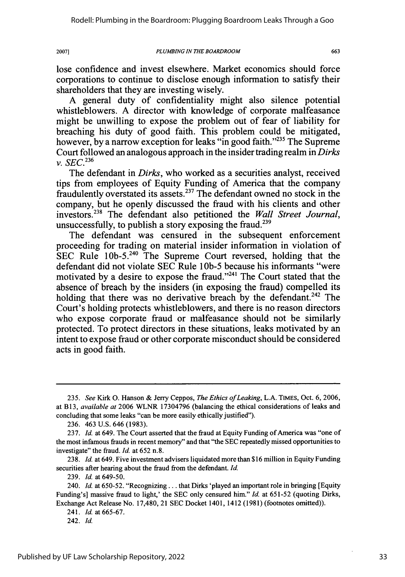*PLUMBING IN THE BOARDROOM*

663

lose confidence and invest elsewhere. Market economics should force corporations to continue to disclose enough information to satisfy their shareholders that they are investing wisely.

A general duty of confidentiality might also silence potential whistleblowers. A director with knowledge of corporate malfeasance might be unwilling to expose the problem out of fear of liability for breaching his duty of good faith. This problem could be mitigated, however, by a narrow exception for leaks "in good faith."<sup>235</sup> The Supreme Court followed an analogous approach in the insider trading realm in *Dirks V. SEC. 236*

The defendant in *Dirks,* who worked as a securities analyst, received tips from employees of Equity Funding of America that the company fraudulently overstated its assets. 237 The defendant owned no stock in the company, but he openly discussed the fraud with his clients and other investors.2 38 The defendant also petitioned the *Wall Street Journal,* unsuccessfully, to publish a story exposing the fraud.<sup>239</sup>

The defendant was censured in the subsequent enforcement proceeding for trading on material insider information in violation of SEC Rule 10b-5.<sup>240</sup> The Supreme Court reversed, holding that the defendant did not violate SEC Rule 10b-5 because his informants "were motivated by a desire to expose the fraud."<sup>241</sup> The Court stated that the absence of breach by the insiders (in exposing the fraud) compelled its holding that there was no derivative breach by the defendant.<sup>242</sup> The Court's holding protects whistleblowers, and there is no reason directors who expose corporate fraud or malfeasance should not be similarly protected. To protect directors in these situations, leaks motivated by an intent to expose fraud or other corporate misconduct should be considered acts in good faith.

238. *Id.* at 649. Five investment advisers liquidated more than \$16 million in Equity Funding securities after hearing about the fraud from the defendant. *Id.*

2007]

*<sup>235.</sup> See* Kirk **0.** Hanson & Jerry Ceppos, *The Ethics of Leaking,* L.A. TIMES, Oct. 6, 2006, at B13, *available at* 2006 WLNR 17304796 (balancing the ethical considerations of leaks and concluding that some leaks "can be more easily ethically justified").

<sup>236. 463</sup> U.S. 646 (1983).

<sup>237.</sup> *Id.* at 649. The Court asserted that the fraud at Equity Funding of America was "one of the most infamous frauds in recent memory" and that "the SEC repeatedly missed opportunities to investigate" the fraud. *Id.* at 652 n.8.

<sup>239.</sup> *Id.* at 649-50.

<sup>240.</sup> *Id.* at 650-52. "Recognizing . . . that Dirks 'played an important role in bringing [Equity Funding's] massive fraud to light,' the SEC only censured him." *Id.* at 651-52 (quoting Dirks, Exchange Act Release No. 17,480, 21 SEC Docket 1401, 1412 (1981) (footnotes omitted)).

<sup>241.</sup> *Id.* at 665-67.

<sup>242.</sup> *Id.*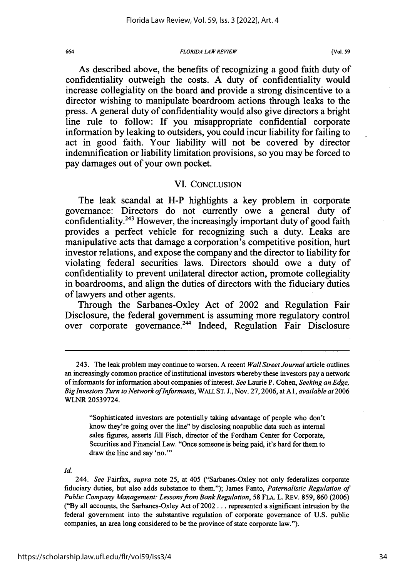#### *FLORIDA LAW REVIEW*

As described above, the benefits of recognizing a good faith duty of confidentiality outweigh the costs. A duty of confidentiality would increase collegiality on the board and provide a strong disincentive to a director wishing to manipulate boardroom actions through leaks to the press. A general duty of confidentiality would also give directors a bright line rule to follow: If you misappropriate confidential corporate information by leaking to outsiders, you could incur liability for failing to act in good faith. Your liability will not be covered by director indemnification or liability limitation provisions, so you may be forced to pay damages out of your own pocket.

### VI. CONCLUSION

The leak scandal at H-P highlights a key problem in corporate governance: Directors do not currently owe a general duty of confidentiality.<sup>243</sup> However, the increasingly important duty of good faith provides a perfect vehicle for recognizing such a duty. Leaks are manipulative acts that damage a corporation's competitive position, hurt investor relations, and expose the company and the director to liability for violating federal securities laws. Directors should owe a duty of confidentiality to prevent unilateral director action, promote collegiality in boardrooms, and align the duties of directors with the fiduciary duties of lawyers and other agents.

Through the Sarbanes-Oxley Act of 2002 and Regulation Fair Disclosure, the federal government is assuming more regulatory control over corporate governance.<sup>244</sup> Indeed, Regulation Fair Disclosure

"Sophisticated investors are potentially taking advantage of people who don't know they're going over the line" **by** disclosing nonpublic data such as internal sales figures, asserts Jill Fisch, director of the Fordhan Center for Corporate, Securities and Financial Law. "Once someone is being paid, it's hard for them to draw the line and say 'no."'

*Id.*

<sup>243.</sup> The leak problem may continue to worsen. A recent *Wall Street Journal* article outlines an increasingly common practice of institutional investors whereby these investors pay a network of informants for information about companies of interest. *See* Laurie P. Cohen, *Seeking an Edge, Big Investors Turn to Network ofInformants,* WALL **ST. J.,** Nov. **27, 2006,** at **A** *1, available at* **2006** WLNR **20539724.**

<sup>244.</sup> *See Fairfax, supra* note **25,** at 405 ("Sarbanes-Oxley not only federalizes corporate fiduciary duties, but also adds substance to them."); James Fanto, *Paternalistic Regulation of Public Company Management: Lessons from Bank Regulation,* **58 FLA.** L. REv. **859, 860 (2006) ("By** all accounts, the Sarbanes-Oxley Act of 2002... represented a significant intrusion **by** the federal government into the substantive regulation of corporate governance of **U.S.** public companies, an area long considered to be the province of state corporate law.").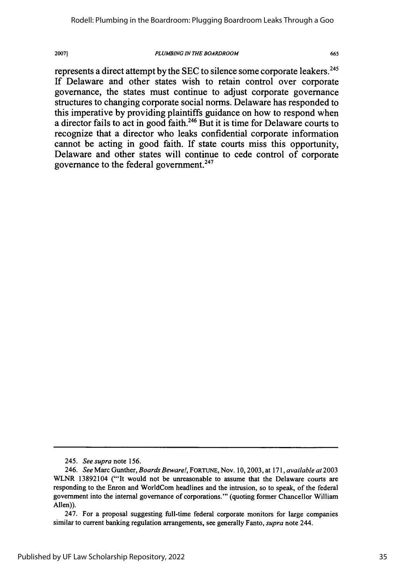#### *PLUMBING IN THE BOARDROOM*

665

represents a direct attempt by the SEC to silence some corporate leakers.<sup>245</sup> If Delaware and other states wish to retain control over corporate governance, the states must continue to adjust corporate governance structures to changing corporate social norms. Delaware has responded to this imperative by providing plaintiffs guidance on how to respond when a director fails to act in good faith.246 But it is time for Delaware courts to recognize that a director who leaks confidential corporate information cannot be acting in good faith. If state courts miss this opportunity, Delaware and other states will continue to cede control of corporate governance to the federal government.<sup>247</sup>

*<sup>245.</sup> See supra* note 156.

<sup>246.</sup> *See* Marc Gunther, *Boards Beware!,* FORTUNE, Nov. 10, 2003, at 171, *available at* 2003 WLNR 13892104 ("It would not be unreasonable to assume that the Delaware courts are responding to the Enron and WorldCom headlines and the intrusion, so to speak, of the federal government into the internal governance of corporations."' (quoting former Chancellor William Allen)).

<sup>247.</sup> For a proposal suggesting full-time federal corporate monitors for large companies similar to current banking regulation arrangements, see generally Fanto, *supra* note 244.